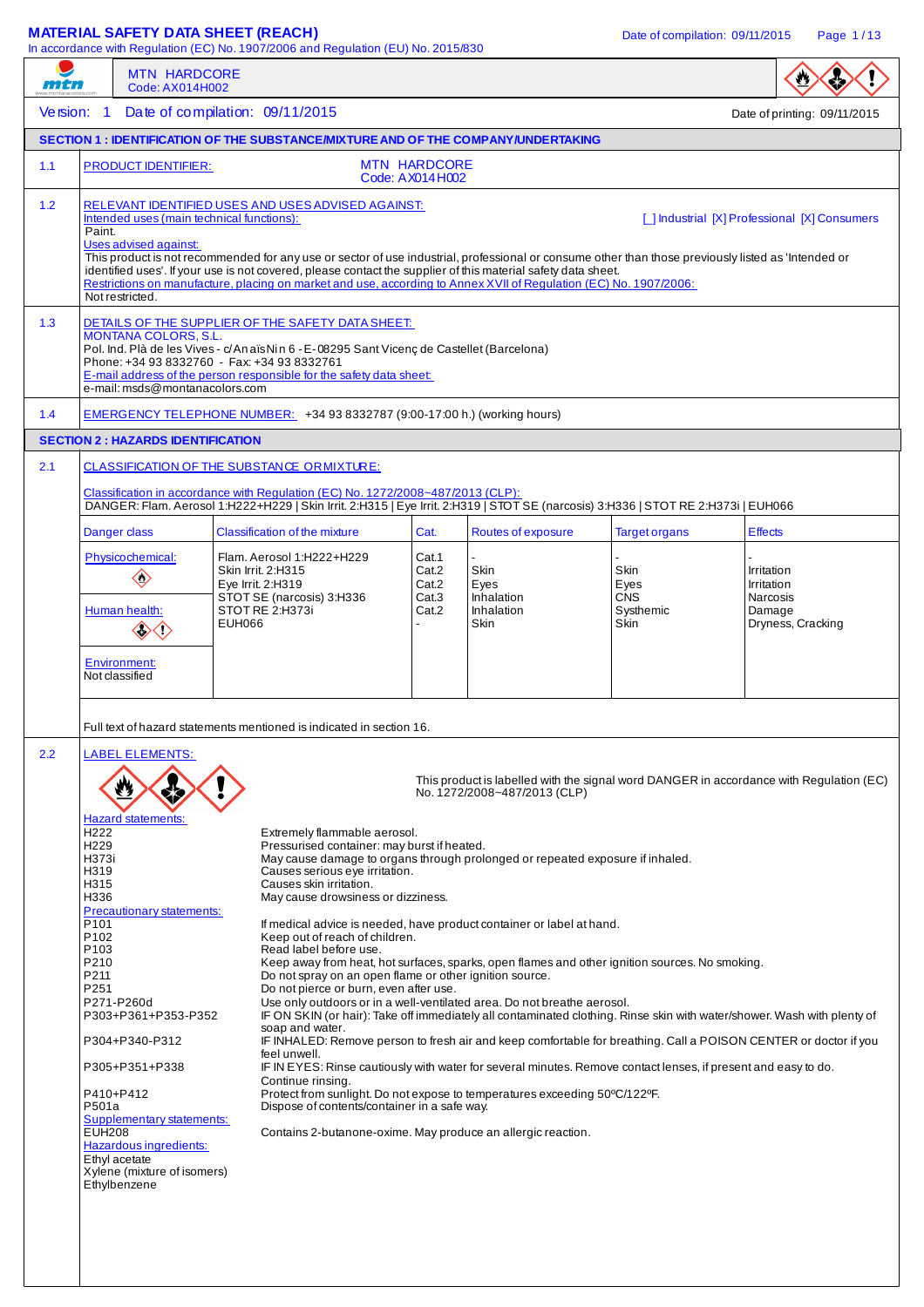# **MATERIAL SAFETY DATA SHEET (REACH)** Date of compilation: 09/11/2015 Page 1/13

 $I<sub>1</sub>$  ation (ELI) No. 2015/830

| mtn | <b>MTN HARDCORE</b><br>Code: AX014H002                                                                                                                                                                                                                                                                                                                                                                                                                                                             | in accordance with Regulation (EC) No. 1907/2006 and Regulation (EU) No. 2015/830                                                                                                                                                                                                                                                                                                                                                                                                                                                                                                                                                                                                                                                                                                                                                                                                                                                                                                                                                                                                                                                                                                           |                                           |                                                  |                                                                                                                |                                                                                         |  |  |
|-----|----------------------------------------------------------------------------------------------------------------------------------------------------------------------------------------------------------------------------------------------------------------------------------------------------------------------------------------------------------------------------------------------------------------------------------------------------------------------------------------------------|---------------------------------------------------------------------------------------------------------------------------------------------------------------------------------------------------------------------------------------------------------------------------------------------------------------------------------------------------------------------------------------------------------------------------------------------------------------------------------------------------------------------------------------------------------------------------------------------------------------------------------------------------------------------------------------------------------------------------------------------------------------------------------------------------------------------------------------------------------------------------------------------------------------------------------------------------------------------------------------------------------------------------------------------------------------------------------------------------------------------------------------------------------------------------------------------|-------------------------------------------|--------------------------------------------------|----------------------------------------------------------------------------------------------------------------|-----------------------------------------------------------------------------------------|--|--|
|     | Version: 1 Date of compilation: 09/11/2015                                                                                                                                                                                                                                                                                                                                                                                                                                                         |                                                                                                                                                                                                                                                                                                                                                                                                                                                                                                                                                                                                                                                                                                                                                                                                                                                                                                                                                                                                                                                                                                                                                                                             |                                           |                                                  |                                                                                                                | Date of printing: 09/11/2015                                                            |  |  |
|     |                                                                                                                                                                                                                                                                                                                                                                                                                                                                                                    | <b>SECTION 1: IDENTIFICATION OF THE SUBSTANCE/MIXTURE AND OF THE COMPANY/UNDERTAKING</b>                                                                                                                                                                                                                                                                                                                                                                                                                                                                                                                                                                                                                                                                                                                                                                                                                                                                                                                                                                                                                                                                                                    |                                           |                                                  |                                                                                                                |                                                                                         |  |  |
| 1.1 | <b>PRODUCT IDENTIFIER:</b>                                                                                                                                                                                                                                                                                                                                                                                                                                                                         |                                                                                                                                                                                                                                                                                                                                                                                                                                                                                                                                                                                                                                                                                                                                                                                                                                                                                                                                                                                                                                                                                                                                                                                             | <b>MTN HARDCORE</b><br>Code: AX014H002    |                                                  |                                                                                                                |                                                                                         |  |  |
| 1.2 | Intended uses (main technical functions):<br>Paint.<br>Uses advised against:<br>Not restricted.                                                                                                                                                                                                                                                                                                                                                                                                    | RELEVANT IDENTIFIED USES AND USES ADVISED AGAINST:<br>This product is not recommended for any use or sector of use industrial, professional or consume other than those previously listed as 'Intended or<br>identified uses'. If your use is not covered, please contact the supplier of this material safety data sheet.<br>Restrictions on manufacture, placing on market and use, according to Annex XVII of Regulation (EC) No. 1907/2006:                                                                                                                                                                                                                                                                                                                                                                                                                                                                                                                                                                                                                                                                                                                                             |                                           |                                                  |                                                                                                                | [ ] Industrial [X] Professional [X] Consumers                                           |  |  |
| 1.3 | DETAILS OF THE SUPPLIER OF THE SAFETY DATA SHEET:<br><b>MONTANA COLORS, S.L.</b><br>Pol. Ind. Plà de les Vives - c/An aïs Nin 6 - E-08295 Sant Vicenç de Castellet (Barcelona)<br>Phone: +34 93 8332760 - Fax: +34 93 8332761<br>E-mail address of the person responsible for the safety data sheet:<br>e-mail: msds@montanacolors.com                                                                                                                                                             |                                                                                                                                                                                                                                                                                                                                                                                                                                                                                                                                                                                                                                                                                                                                                                                                                                                                                                                                                                                                                                                                                                                                                                                             |                                           |                                                  |                                                                                                                |                                                                                         |  |  |
| 1.4 |                                                                                                                                                                                                                                                                                                                                                                                                                                                                                                    | EMERGENCY TELEPHONE NUMBER: +34 93 8332787 (9:00-17:00 h.) (working hours)                                                                                                                                                                                                                                                                                                                                                                                                                                                                                                                                                                                                                                                                                                                                                                                                                                                                                                                                                                                                                                                                                                                  |                                           |                                                  |                                                                                                                |                                                                                         |  |  |
|     | <b>SECTION 2: HAZARDS IDENTIFICATION</b>                                                                                                                                                                                                                                                                                                                                                                                                                                                           |                                                                                                                                                                                                                                                                                                                                                                                                                                                                                                                                                                                                                                                                                                                                                                                                                                                                                                                                                                                                                                                                                                                                                                                             |                                           |                                                  |                                                                                                                |                                                                                         |  |  |
| 2.1 |                                                                                                                                                                                                                                                                                                                                                                                                                                                                                                    | CLASSIFICATION OF THE SUBSTANCE ORMIXTURE:<br>Classification in accordance with Regulation (EC) No. 1272/2008~487/2013 (CLP):<br>DANGER: Flam. Aerosol 1:H222+H229   Skin Irrit. 2:H315   Eye Irrit. 2:H319   STOT SE (narcosis) 3:H336   STOT RE 2:H373i   EUH066                                                                                                                                                                                                                                                                                                                                                                                                                                                                                                                                                                                                                                                                                                                                                                                                                                                                                                                          |                                           |                                                  |                                                                                                                |                                                                                         |  |  |
|     | Danger class                                                                                                                                                                                                                                                                                                                                                                                                                                                                                       | Classification of the mixture                                                                                                                                                                                                                                                                                                                                                                                                                                                                                                                                                                                                                                                                                                                                                                                                                                                                                                                                                                                                                                                                                                                                                               | Cat.                                      | Routes of exposure                               | <b>Target organs</b>                                                                                           | <b>Effects</b>                                                                          |  |  |
|     | Physicochemical:<br>$\diamondsuit$<br>Human health:                                                                                                                                                                                                                                                                                                                                                                                                                                                | Flam. Aerosol 1:H222+H229<br>Skin Irrit. 2:H315<br>Eye Irrit. 2:H319<br>STOT SE (narcosis) 3:H336<br>STOT RE 2:H373i<br><b>EUH066</b>                                                                                                                                                                                                                                                                                                                                                                                                                                                                                                                                                                                                                                                                                                                                                                                                                                                                                                                                                                                                                                                       | Cat.1<br>Cat.2<br>Cat.2<br>Cat.3<br>Cat.2 | Skin<br>Eyes<br>Inhalation<br>Inhalation<br>Skin | Skin<br>Eyes<br><b>CNS</b><br>Systhemic<br>Skin                                                                | Irritation<br>Irritation<br>Narcosis<br>Damage<br>Dryness, Cracking                     |  |  |
|     | <b>Environment:</b><br>Not classified                                                                                                                                                                                                                                                                                                                                                                                                                                                              | Full text of hazard statements mentioned is indicated in section 16.                                                                                                                                                                                                                                                                                                                                                                                                                                                                                                                                                                                                                                                                                                                                                                                                                                                                                                                                                                                                                                                                                                                        |                                           |                                                  |                                                                                                                |                                                                                         |  |  |
| 2.2 | <b>LABEL ELEMENTS:</b><br><b>Hazard statements:</b><br>H <sub>222</sub><br>H <sub>229</sub><br>H373i<br>H319<br>H315<br>H336<br><b>Precautionary statements:</b><br>P <sub>101</sub><br>P <sub>102</sub><br>P <sub>103</sub><br>P210<br>P211<br>P251<br>P271-P260d<br>P303+P361+P353-P352<br>P304+P340-P312<br>P305+P351+P338<br>P410+P412<br>P501a<br>Supplementary statements:<br><b>EUH208</b><br><b>Hazardous ingredients:</b><br>Ethyl acetate<br>Xylene (mixture of isomers)<br>Ethylbenzene | Extremely flammable aerosol.<br>Pressurised container: may burst if heated.<br>May cause damage to organs through prolonged or repeated exposure if inhaled.<br>Causes serious eye irritation.<br>Causes skin irritation.<br>May cause drowsiness or dizziness.<br>If medical advice is needed, have product container or label at hand.<br>Keep out of reach of children.<br>Read label before use.<br>Keep away from heat, hot surfaces, sparks, open flames and other ignition sources. No smoking.<br>Do not spray on an open flame or other ignition source.<br>Do not pierce or burn, even after use.<br>Use only outdoors or in a well-ventilated area. Do not breathe aerosol.<br>IF ON SKIN (or hair): Take off immediately all contaminated clothing. Rinse skin with water/shower. Wash with plenty of<br>soap and water.<br>IF INHALED: Remove person to fresh air and keep comfortable for breathing. Call a POISON CENTER or doctor if you<br>feel unwell.<br>Continue rinsing.<br>Protect from sunlight. Do not expose to temperatures exceeding 50°C/122°F.<br>Dispose of contents/container in a safe way.<br>Contains 2-butanone-oxime. May produce an allergic reaction. |                                           | No. 1272/2008~487/2013 (CLP)                     | IF IN EYES: Rinse cautiously with water for several minutes. Remove contact lenses, if present and easy to do. | This product is labelled with the signal word DANGER in accordance with Regulation (EC) |  |  |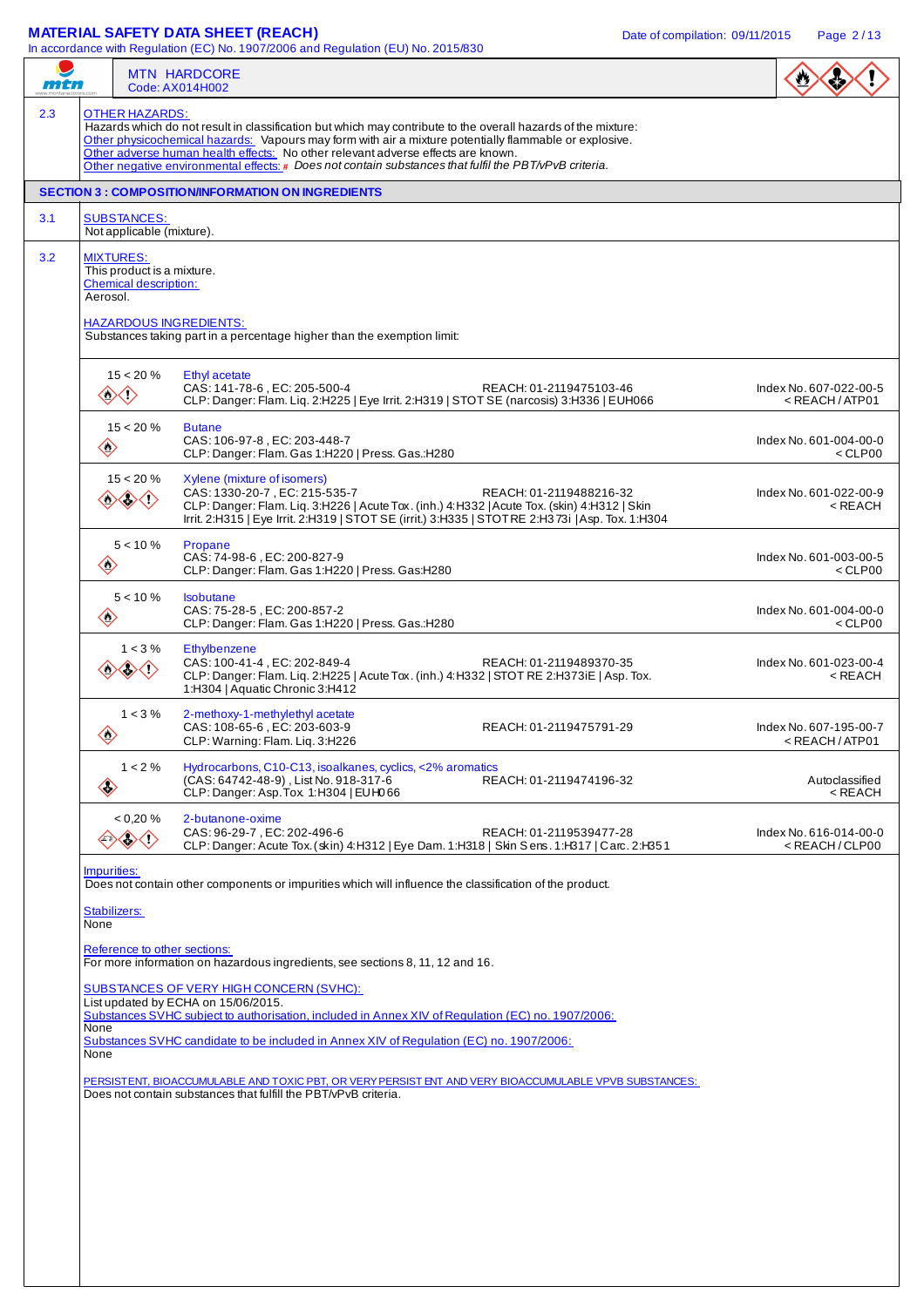## **MATERIAL SAFETY DATA SHEET (REACH)** Date of compilation: 09/11/2015 Page 2/13

| mtn                                                                 |                                                                                                                                                                                                        | <b>MTN HARDCORE</b><br>Code: AX014H002                                                                                                                                                                                                                                                                                                                                                                                   |                                                           |  |  |  |  |  |  |  |
|---------------------------------------------------------------------|--------------------------------------------------------------------------------------------------------------------------------------------------------------------------------------------------------|--------------------------------------------------------------------------------------------------------------------------------------------------------------------------------------------------------------------------------------------------------------------------------------------------------------------------------------------------------------------------------------------------------------------------|-----------------------------------------------------------|--|--|--|--|--|--|--|
|                                                                     | <b>OTHER HAZARDS:</b>                                                                                                                                                                                  | Hazards which do not result in classification but which may contribute to the overall hazards of the mixture:<br>Other physicochemical hazards: Vapours may form with air a mixture potentially flammable or explosive.<br>Other adverse human health effects: No other relevant adverse effects are known.<br>Other negative environmental effects: $\#$ Does not contain substances that fulfil the PBT/vPvB criteria. |                                                           |  |  |  |  |  |  |  |
|                                                                     | <b>SECTION 3 : COMPOSITION/INFORMATION ON INGREDIENTS</b>                                                                                                                                              |                                                                                                                                                                                                                                                                                                                                                                                                                          |                                                           |  |  |  |  |  |  |  |
|                                                                     | <b>SUBSTANCES:</b><br>Not applicable (mixture).                                                                                                                                                        |                                                                                                                                                                                                                                                                                                                                                                                                                          |                                                           |  |  |  |  |  |  |  |
|                                                                     | <b>MIXTURES:</b><br>This product is a mixture.<br><b>Chemical description:</b><br>Aerosol.<br><b>HAZARDOUS INGREDIENTS:</b><br>Substances taking part in a percentage higher than the exemption limit: |                                                                                                                                                                                                                                                                                                                                                                                                                          |                                                           |  |  |  |  |  |  |  |
| $\mathcal{L}$                                                       | $15 < 20 \%$<br>〈^〉                                                                                                                                                                                    | Index No. 607-022-00-5<br>$<$ REACH / ATP01                                                                                                                                                                                                                                                                                                                                                                              |                                                           |  |  |  |  |  |  |  |
| $\Leftrightarrow$                                                   | $15 < 20 \%$                                                                                                                                                                                           | <b>Butane</b><br>CAS: 106-97-8, EC: 203-448-7<br>CLP: Danger: Flam. Gas 1:H220   Press. Gas.:H280                                                                                                                                                                                                                                                                                                                        | Index No. 601-004-00-0<br>$<$ CLP00                       |  |  |  |  |  |  |  |
|                                                                     | $15 < 20 \%$<br>◇◇◇◇                                                                                                                                                                                   | Xylene (mixture of isomers)<br>CAS: 1330-20-7, EC: 215-535-7<br>REACH: 01-2119488216-32<br>CLP: Danger: Flam. Liq. 3:H226   Acute Tox. (inh.) 4:H332   Acute Tox. (skin) 4:H312   Skin<br>Irrit. 2:H315   Eye Irrit. 2:H319   STOT SE (irrit.) 3:H335   STOT RE 2:H373i   Asp. Tox. 1:H304                                                                                                                               | Index No. 601-022-00-9<br>$<$ REACH                       |  |  |  |  |  |  |  |
| $\diamondsuit$                                                      | $5 < 10 \%$                                                                                                                                                                                            | Propane<br>CAS: 74-98-6, EC: 200-827-9<br>CLP: Danger: Flam. Gas 1:H220   Press. Gas:H280                                                                                                                                                                                                                                                                                                                                | Index No. 601-003-00-5<br>$<$ CLP00                       |  |  |  |  |  |  |  |
| $\left\langle \!\! \left\langle {}\right\rangle \!\! \right\rangle$ | $5 < 10 \%$                                                                                                                                                                                            | <b>Isobutane</b><br>CAS: 75-28-5, EC: 200-857-2<br>CLP: Danger: Flam. Gas 1:H220   Press. Gas.:H280                                                                                                                                                                                                                                                                                                                      | Index No. 601-004-00-0<br>$<$ CLP00                       |  |  |  |  |  |  |  |
|                                                                     | $1 < 3\%$<br>$\langle \cdot \rangle$                                                                                                                                                                   | Ethylbenzene<br>CAS: 100-41-4. EC: 202-849-4<br>REACH: 01-2119489370-35<br>CLP: Danger: Flam. Liq. 2:H225   Acute Tox. (inh.) 4:H332   STOT RE 2:H373iE   Asp. Tox.<br>1:H304   Aquatic Chronic 3:H412                                                                                                                                                                                                                   | Index No. 601-023-00-4<br>$<$ REACH                       |  |  |  |  |  |  |  |
| $\langle \cdot \rangle$                                             | $1 < 3\%$                                                                                                                                                                                              | 2-methoxy-1-methylethyl acetate<br>CAS: 108-65-6, EC: 203-603-9<br>REACH: 01-2119475791-29<br>CLP: Warning: Flam. Liq. 3:H226                                                                                                                                                                                                                                                                                            | Index No. 607-195-00-7<br><reach atp01<="" td=""></reach> |  |  |  |  |  |  |  |
| $\langle \!\!\!\langle \cdot \rangle\!\!\!\rangle$                  | $1 < 2\%$                                                                                                                                                                                              | Hydrocarbons, C10-C13, isoalkanes, cyclics, <2% aromatics<br>(CAS: 64742-48-9), List No. 918-317-6<br>REACH: 01-2119474196-32<br>CLP: Danger: Asp. Tox 1:H304   EUH066                                                                                                                                                                                                                                                   | Autoclassified<br>< REACH                                 |  |  |  |  |  |  |  |
|                                                                     | $< 0.20 \%$<br>⟨!〉                                                                                                                                                                                     | 2-butanone-oxime<br>CAS: 96-29-7, EC: 202-496-6<br>REACH: 01-2119539477-28<br>CLP: Danger: Acute Tox. (skin) 4: H312   Eye Dam. 1: H318   Skin Sens. 1: H317   Carc. 2: H351                                                                                                                                                                                                                                             | Index No. 616-014-00-0<br>$<$ REACH/CLP00                 |  |  |  |  |  |  |  |
| Impurities:                                                         |                                                                                                                                                                                                        | Does not contain other components or impurities which will influence the classification of the product.                                                                                                                                                                                                                                                                                                                  |                                                           |  |  |  |  |  |  |  |
| None                                                                | Stabilizers:                                                                                                                                                                                           |                                                                                                                                                                                                                                                                                                                                                                                                                          |                                                           |  |  |  |  |  |  |  |
|                                                                     |                                                                                                                                                                                                        | Reference to other sections:<br>For more information on hazardous ingredients, see sections 8, 11, 12 and 16.                                                                                                                                                                                                                                                                                                            |                                                           |  |  |  |  |  |  |  |
|                                                                     | SUBSTANCES OF VERY HIGH CONCERN (SVHC):                                                                                                                                                                |                                                                                                                                                                                                                                                                                                                                                                                                                          |                                                           |  |  |  |  |  |  |  |
| None                                                                | List updated by ECHA on 15/06/2015.<br>Substances SVHC subject to authorisation, included in Annex XIV of Regulation (EC) no. 1907/2006:                                                               |                                                                                                                                                                                                                                                                                                                                                                                                                          |                                                           |  |  |  |  |  |  |  |
|                                                                     | Substances SVHC candidate to be included in Annex XIV of Regulation (EC) no. 1907/2006:<br>None                                                                                                        |                                                                                                                                                                                                                                                                                                                                                                                                                          |                                                           |  |  |  |  |  |  |  |
|                                                                     | PERSISTENT, BIOACCUMULABLE AND TOXIC PBT, OR VERY PERSIST ENT AND VERY BIOACCUMULABLE VPVB SUBSTANCES:                                                                                                 |                                                                                                                                                                                                                                                                                                                                                                                                                          |                                                           |  |  |  |  |  |  |  |
|                                                                     |                                                                                                                                                                                                        | Does not contain substances that fulfill the PBT/vPvB criteria.                                                                                                                                                                                                                                                                                                                                                          |                                                           |  |  |  |  |  |  |  |
|                                                                     |                                                                                                                                                                                                        |                                                                                                                                                                                                                                                                                                                                                                                                                          |                                                           |  |  |  |  |  |  |  |
|                                                                     |                                                                                                                                                                                                        |                                                                                                                                                                                                                                                                                                                                                                                                                          |                                                           |  |  |  |  |  |  |  |
|                                                                     |                                                                                                                                                                                                        |                                                                                                                                                                                                                                                                                                                                                                                                                          |                                                           |  |  |  |  |  |  |  |
|                                                                     |                                                                                                                                                                                                        |                                                                                                                                                                                                                                                                                                                                                                                                                          |                                                           |  |  |  |  |  |  |  |
|                                                                     |                                                                                                                                                                                                        |                                                                                                                                                                                                                                                                                                                                                                                                                          |                                                           |  |  |  |  |  |  |  |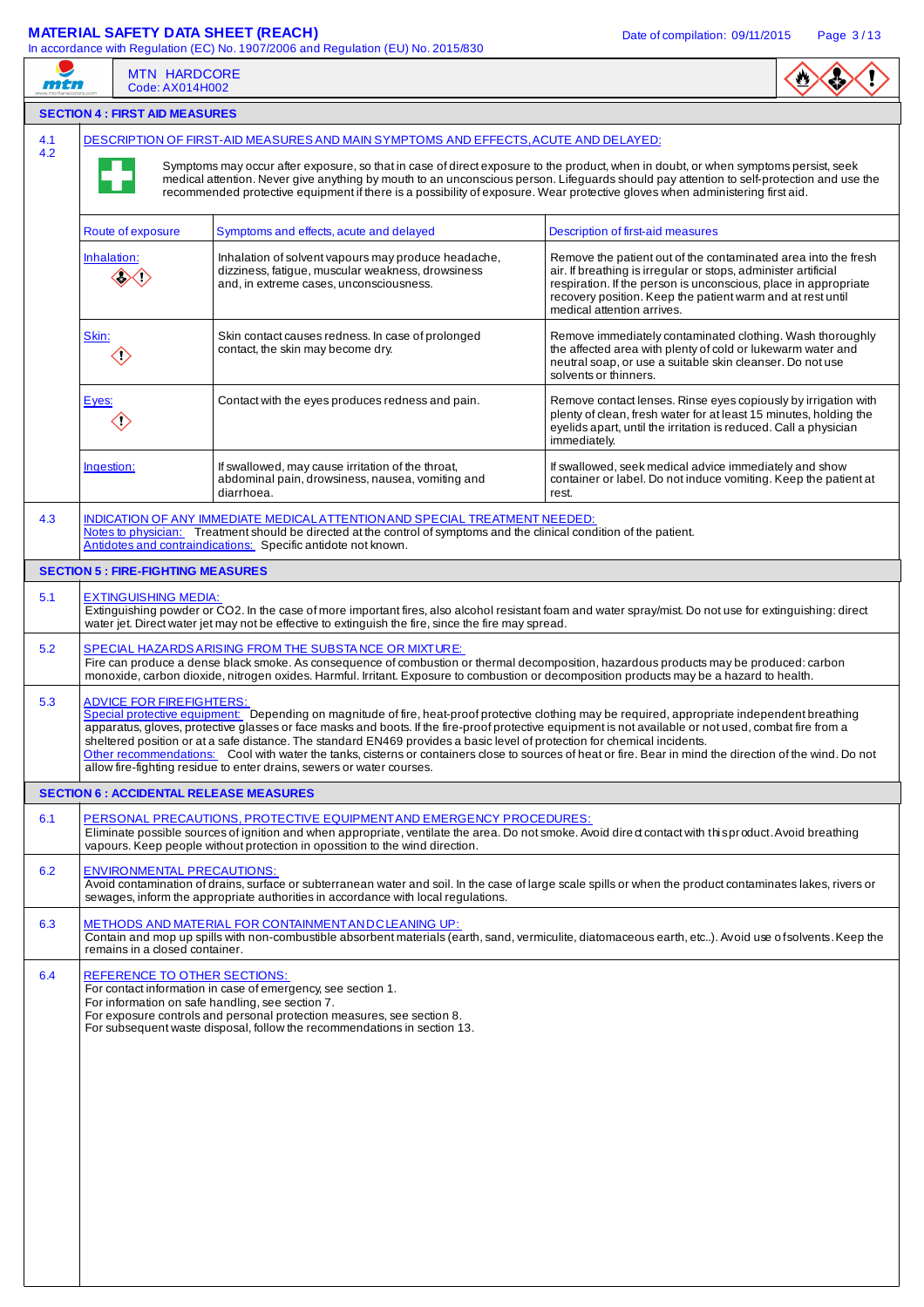# **MATERIAL SAFETY DATA SHEET (REACH)** Date of compilation: 09/11/2015 Page 3/13

|     | <b>MAILINAL ON ETT DAIA OILLET (NEADTI)</b>                                                                                                                                                                                                                                                                                                                                                                                                                           | In accordance with Regulation (EC) No. 1907/2006 and Regulation (EU) No. 2015/830                                                                                                                                                                                                                                                                                                                                                                                                                               | Date of compliation: 09/11/2015<br>Page 3/13                                                                                                                                                                            |  |  |  |  |  |  |
|-----|-----------------------------------------------------------------------------------------------------------------------------------------------------------------------------------------------------------------------------------------------------------------------------------------------------------------------------------------------------------------------------------------------------------------------------------------------------------------------|-----------------------------------------------------------------------------------------------------------------------------------------------------------------------------------------------------------------------------------------------------------------------------------------------------------------------------------------------------------------------------------------------------------------------------------------------------------------------------------------------------------------|-------------------------------------------------------------------------------------------------------------------------------------------------------------------------------------------------------------------------|--|--|--|--|--|--|
| mtn | <b>MTN HARDCORE</b><br>Code: AX014H002                                                                                                                                                                                                                                                                                                                                                                                                                                |                                                                                                                                                                                                                                                                                                                                                                                                                                                                                                                 |                                                                                                                                                                                                                         |  |  |  |  |  |  |
|     | <b>SECTION 4 : FIRST AID MEASURES</b>                                                                                                                                                                                                                                                                                                                                                                                                                                 |                                                                                                                                                                                                                                                                                                                                                                                                                                                                                                                 |                                                                                                                                                                                                                         |  |  |  |  |  |  |
| 4.1 |                                                                                                                                                                                                                                                                                                                                                                                                                                                                       | DESCRIPTION OF FIRST-AID MEASURES AND MAIN SYMPTOMS AND EFFECTS, ACUTE AND DELAYED:                                                                                                                                                                                                                                                                                                                                                                                                                             |                                                                                                                                                                                                                         |  |  |  |  |  |  |
| 4.2 |                                                                                                                                                                                                                                                                                                                                                                                                                                                                       | Symptoms may occur after exposure, so that in case of direct exposure to the product, when in doubt, or when symptoms persist, seek<br>recommended protective equipment if there is a possibility of exposure. Wear protective gloves when administering first aid.                                                                                                                                                                                                                                             | medical attention. Never give anything by mouth to an unconscious person. Lifeguards should pay attention to self-protection and use the                                                                                |  |  |  |  |  |  |
|     | Route of exposure                                                                                                                                                                                                                                                                                                                                                                                                                                                     | Symptoms and effects, acute and delayed                                                                                                                                                                                                                                                                                                                                                                                                                                                                         | Description of first-aid measures                                                                                                                                                                                       |  |  |  |  |  |  |
|     | Inhalation of solvent vapours may produce headache,<br>Remove the patient out of the contaminated area into the fresh<br>Inhalation:<br>dizziness, fatigue, muscular weakness, drowsiness<br>air. If breathing is irregular or stops, administer artificial<br>and, in extreme cases, unconsciousness.<br>respiration. If the person is unconscious, place in appropriate<br>recovery position. Keep the patient warm and at rest until<br>medical attention arrives. |                                                                                                                                                                                                                                                                                                                                                                                                                                                                                                                 |                                                                                                                                                                                                                         |  |  |  |  |  |  |
|     | Skin:<br>$\langle \!\! \langle \cdot \rangle\!\! \rangle$                                                                                                                                                                                                                                                                                                                                                                                                             | Skin contact causes redness. In case of prolonged<br>contact, the skin may become dry.                                                                                                                                                                                                                                                                                                                                                                                                                          | Remove immediately contaminated clothing. Wash thoroughly<br>the affected area with plenty of cold or lukewarm water and<br>neutral soap, or use a suitable skin cleanser. Do not use<br>solvents or thinners.          |  |  |  |  |  |  |
|     | Eyes:<br>$\langle \rangle$                                                                                                                                                                                                                                                                                                                                                                                                                                            | Contact with the eyes produces redness and pain.                                                                                                                                                                                                                                                                                                                                                                                                                                                                | Remove contact lenses. Rinse eyes copiously by irrigation with<br>plenty of clean, fresh water for at least 15 minutes, holding the<br>eyelids apart, until the irritation is reduced. Call a physician<br>immediately. |  |  |  |  |  |  |
|     | Ingestion:                                                                                                                                                                                                                                                                                                                                                                                                                                                            | If swallowed, may cause irritation of the throat,<br>abdominal pain, drowsiness, nausea, vomiting and<br>diarrhoea.                                                                                                                                                                                                                                                                                                                                                                                             | If swallowed, seek medical advice immediately and show<br>container or label. Do not induce vomiting. Keep the patient at<br>rest.                                                                                      |  |  |  |  |  |  |
| 4.3 |                                                                                                                                                                                                                                                                                                                                                                                                                                                                       | INDICATION OF ANY IMMEDIATE MEDICAL ATTENTION AND SPECIAL TREATMENT NEEDED:<br>Notes to physician: Treatment should be directed at the control of symptoms and the clinical condition of the patient.<br>Antidotes and contraindications: Specific antidote not known.                                                                                                                                                                                                                                          |                                                                                                                                                                                                                         |  |  |  |  |  |  |
|     | <b>SECTION 5 : FIRE-FIGHTING MEASURES</b>                                                                                                                                                                                                                                                                                                                                                                                                                             |                                                                                                                                                                                                                                                                                                                                                                                                                                                                                                                 |                                                                                                                                                                                                                         |  |  |  |  |  |  |
| 5.1 | <b>EXTINGUISHING MEDIA:</b>                                                                                                                                                                                                                                                                                                                                                                                                                                           | Extinguishing powder or CO2. In the case of more important fires, also alcohol resistant foam and water spray/mist. Do not use for extinguishing: direct<br>water jet. Direct water jet may not be effective to extinguish the fire, since the fire may spread.                                                                                                                                                                                                                                                 |                                                                                                                                                                                                                         |  |  |  |  |  |  |
| 5.2 |                                                                                                                                                                                                                                                                                                                                                                                                                                                                       | SPECIAL HAZARDS ARISING FROM THE SUBSTANCE OR MIXTURE:<br>Fire can produce a dense black smoke. As consequence of combustion or thermal decomposition, hazardous products may be produced: carbon<br>monoxide, carbon dioxide, nitrogen oxides. Harmful. Irritant. Exposure to combustion or decomposition products may be a hazard to health.                                                                                                                                                                  |                                                                                                                                                                                                                         |  |  |  |  |  |  |
| 5.3 | ADVICE FOR FIREFIGHTERS:                                                                                                                                                                                                                                                                                                                                                                                                                                              | Special protective equipment: Depending on magnitude of fire, heat-proof protective clothing may be required, appropriate independent breathing<br>apparatus, gloves, protective glasses or face masks and boots. If the fire-proof protective equipment is not available or not used, combat fire from a<br>sheltered position or at a safe distance. The standard EN469 provides a basic level of protection for chemical incidents.<br>allow fire-fighting residue to enter drains, sewers or water courses. | Other recommendations: Cool with water the tanks, cisterns or containers close to sources of heat or fire. Bear in mind the direction of the wind. Do not                                                               |  |  |  |  |  |  |
|     | <b>SECTION 6 : ACCIDENTAL RELEASE MEASURES</b>                                                                                                                                                                                                                                                                                                                                                                                                                        |                                                                                                                                                                                                                                                                                                                                                                                                                                                                                                                 |                                                                                                                                                                                                                         |  |  |  |  |  |  |
| 6.1 |                                                                                                                                                                                                                                                                                                                                                                                                                                                                       | PERSONAL PRECAUTIONS, PROTECTIVE EQUIPMENT AND EMERGENCY PROCEDURES:<br>Eliminate possible sources of ignition and when appropriate, ventilate the area. Do not smoke. Avoid dired contact with this product. Avoid breathing<br>vapours. Keep people without protection in opossition to the wind direction.                                                                                                                                                                                                   |                                                                                                                                                                                                                         |  |  |  |  |  |  |
| 6.2 | <b>ENVIRONMENTAL PRECAUTIONS:</b>                                                                                                                                                                                                                                                                                                                                                                                                                                     | sewages, inform the appropriate authorities in accordance with local regulations.                                                                                                                                                                                                                                                                                                                                                                                                                               | Avoid contamination of drains, surface or subterranean water and soil. In the case of large scale spills or when the product contaminates lakes, rivers or                                                              |  |  |  |  |  |  |
| 6.3 | remains in a closed container.                                                                                                                                                                                                                                                                                                                                                                                                                                        | METHODS AND MATERIAL FOR CONTAINMENT AND CLEANING UP:                                                                                                                                                                                                                                                                                                                                                                                                                                                           | Contain and mop up spills with non-combustible absorbent materials (earth, sand, vermiculite, diatomaceous earth, etc). Avoid use of solvents. Keep the                                                                 |  |  |  |  |  |  |
| 6.4 | <b>REFERENCE TO OTHER SECTIONS:</b><br>For information on safe handling, see section 7.                                                                                                                                                                                                                                                                                                                                                                               | For contact information in case of emergency, see section 1.<br>For exposure controls and personal protection measures, see section 8.<br>For subsequent waste disposal, follow the recommendations in section 13.                                                                                                                                                                                                                                                                                              |                                                                                                                                                                                                                         |  |  |  |  |  |  |
|     |                                                                                                                                                                                                                                                                                                                                                                                                                                                                       |                                                                                                                                                                                                                                                                                                                                                                                                                                                                                                                 |                                                                                                                                                                                                                         |  |  |  |  |  |  |
|     |                                                                                                                                                                                                                                                                                                                                                                                                                                                                       |                                                                                                                                                                                                                                                                                                                                                                                                                                                                                                                 |                                                                                                                                                                                                                         |  |  |  |  |  |  |
|     |                                                                                                                                                                                                                                                                                                                                                                                                                                                                       |                                                                                                                                                                                                                                                                                                                                                                                                                                                                                                                 |                                                                                                                                                                                                                         |  |  |  |  |  |  |
|     |                                                                                                                                                                                                                                                                                                                                                                                                                                                                       |                                                                                                                                                                                                                                                                                                                                                                                                                                                                                                                 |                                                                                                                                                                                                                         |  |  |  |  |  |  |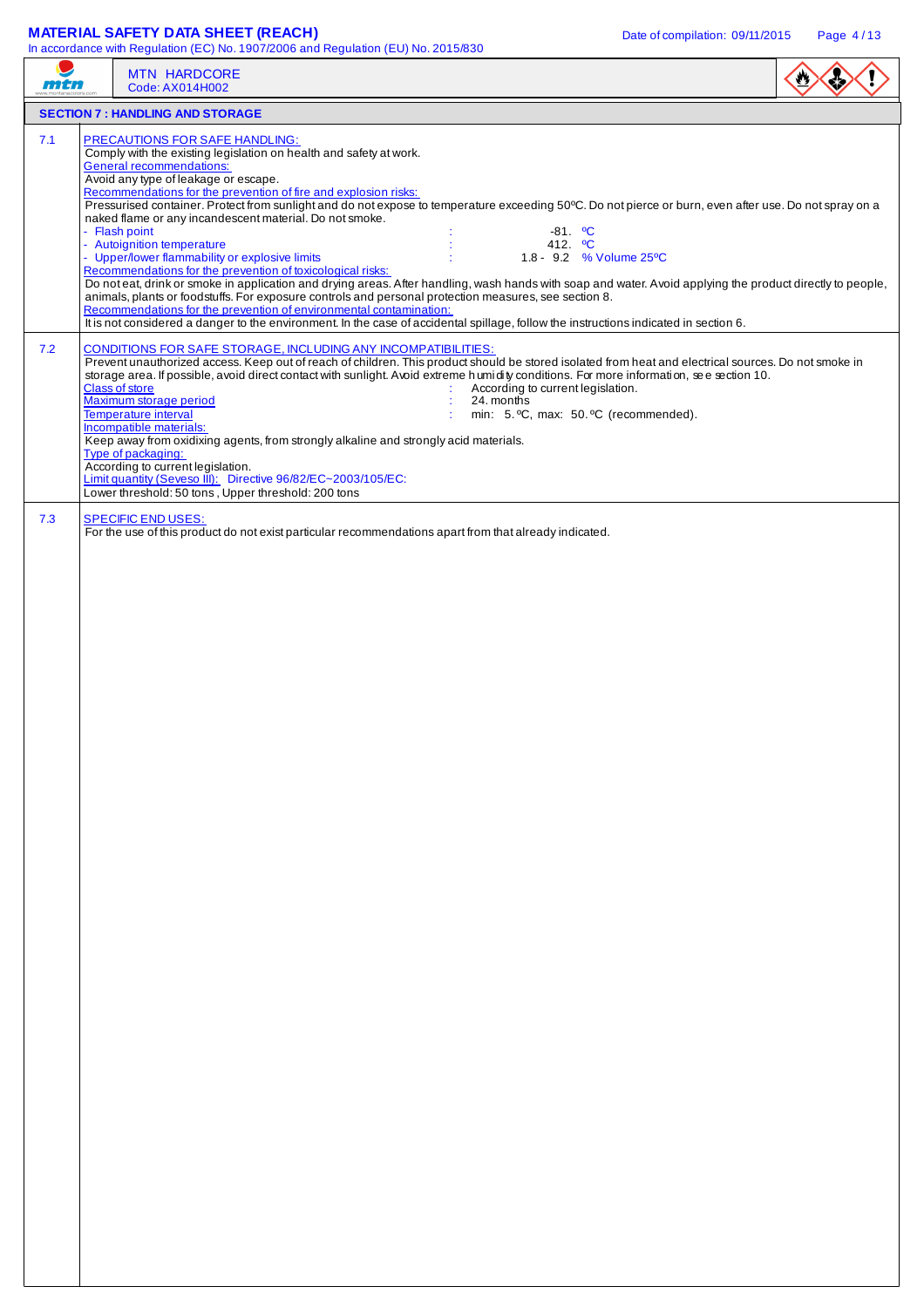## **MATERIAL SAFETY DATA SHEET (REACH)** Date of compilation: 09/11/2015 Page 4/13

|     | <b>MTN HARDCORE</b><br>Code: AX014H002                                                                                                                                                                                                                                                                                                                                                                                          |  |
|-----|---------------------------------------------------------------------------------------------------------------------------------------------------------------------------------------------------------------------------------------------------------------------------------------------------------------------------------------------------------------------------------------------------------------------------------|--|
|     | <b>SECTION 7 : HANDLING AND STORAGE</b>                                                                                                                                                                                                                                                                                                                                                                                         |  |
| 7.1 | <b>PRECAUTIONS FOR SAFE HANDLING:</b><br>Comply with the existing legislation on health and safety at work.                                                                                                                                                                                                                                                                                                                     |  |
|     | <b>General recommendations:</b><br>Avoid any type of leakage or escape.<br>Recommendations for the prevention of fire and explosion risks:                                                                                                                                                                                                                                                                                      |  |
|     | Pressurised container. Protect from sunlight and do not expose to temperature exceeding 50°C. Do not pierce or burn, even after use. Do not spray on a<br>naked flame or any incandescent material. Do not smoke.                                                                                                                                                                                                               |  |
|     | - Flash point<br>-81. <sup>o</sup> C<br>- Autoignition temperature<br>412. <sup>o</sup> C<br>- Upper/lower flammability or explosive limits<br>1.8 - 9.2 % Volume 25°C                                                                                                                                                                                                                                                          |  |
|     | Recommendations for the prevention of toxicological risks:<br>Do noteat, drink or smoke in application and drying areas. After handling, wash hands with soap and water. Avoid applying the product directly to people,<br>animals, plants or foodstuffs. For exposure controls and personal protection measures, see section 8.                                                                                                |  |
|     | Recommendations for the prevention of environmental contamination:<br>It is not considered a danger to the environment. In the case of accidental spillage, follow the instructions indicated in section 6.                                                                                                                                                                                                                     |  |
| 7.2 | CONDITIONS FOR SAFE STORAGE, INCLUDING ANY INCOMPATIBILITIES:<br>Prevent unauthorized access. Keep out of reach of children. This product should be stored isolated from heat and electrical sources. Do not smoke in<br>storage area. If possible, avoid direct contact with sunlight. Avoid extreme h umidity conditions. For more information, see section 10.<br><b>Class of store</b><br>According to current legislation. |  |
|     | Maximum storage period<br>24. months<br>min: 5. °C, max: 50. °C (recommended).<br>Temperature interval<br>Incompatible materials:                                                                                                                                                                                                                                                                                               |  |
|     | Keep away from oxidixing agents, from strongly alkaline and strongly acid materials.<br>Type of packaging:                                                                                                                                                                                                                                                                                                                      |  |
|     | According to current legislation.<br>Limit quantity (Seveso III): Directive 96/82/EC~2003/105/EC:<br>Lower threshold: 50 tons, Upper threshold: 200 tons                                                                                                                                                                                                                                                                        |  |
| 7.3 | <b>SPECIFIC END USES:</b><br>For the use of this product do not exist particular recommendations apart from that already indicated.                                                                                                                                                                                                                                                                                             |  |
|     |                                                                                                                                                                                                                                                                                                                                                                                                                                 |  |
|     |                                                                                                                                                                                                                                                                                                                                                                                                                                 |  |
|     |                                                                                                                                                                                                                                                                                                                                                                                                                                 |  |
|     |                                                                                                                                                                                                                                                                                                                                                                                                                                 |  |
|     |                                                                                                                                                                                                                                                                                                                                                                                                                                 |  |
|     |                                                                                                                                                                                                                                                                                                                                                                                                                                 |  |
|     |                                                                                                                                                                                                                                                                                                                                                                                                                                 |  |
|     |                                                                                                                                                                                                                                                                                                                                                                                                                                 |  |
|     |                                                                                                                                                                                                                                                                                                                                                                                                                                 |  |
|     |                                                                                                                                                                                                                                                                                                                                                                                                                                 |  |
|     |                                                                                                                                                                                                                                                                                                                                                                                                                                 |  |
|     |                                                                                                                                                                                                                                                                                                                                                                                                                                 |  |
|     |                                                                                                                                                                                                                                                                                                                                                                                                                                 |  |
|     |                                                                                                                                                                                                                                                                                                                                                                                                                                 |  |
|     |                                                                                                                                                                                                                                                                                                                                                                                                                                 |  |
|     |                                                                                                                                                                                                                                                                                                                                                                                                                                 |  |
|     |                                                                                                                                                                                                                                                                                                                                                                                                                                 |  |
|     |                                                                                                                                                                                                                                                                                                                                                                                                                                 |  |
|     |                                                                                                                                                                                                                                                                                                                                                                                                                                 |  |
|     |                                                                                                                                                                                                                                                                                                                                                                                                                                 |  |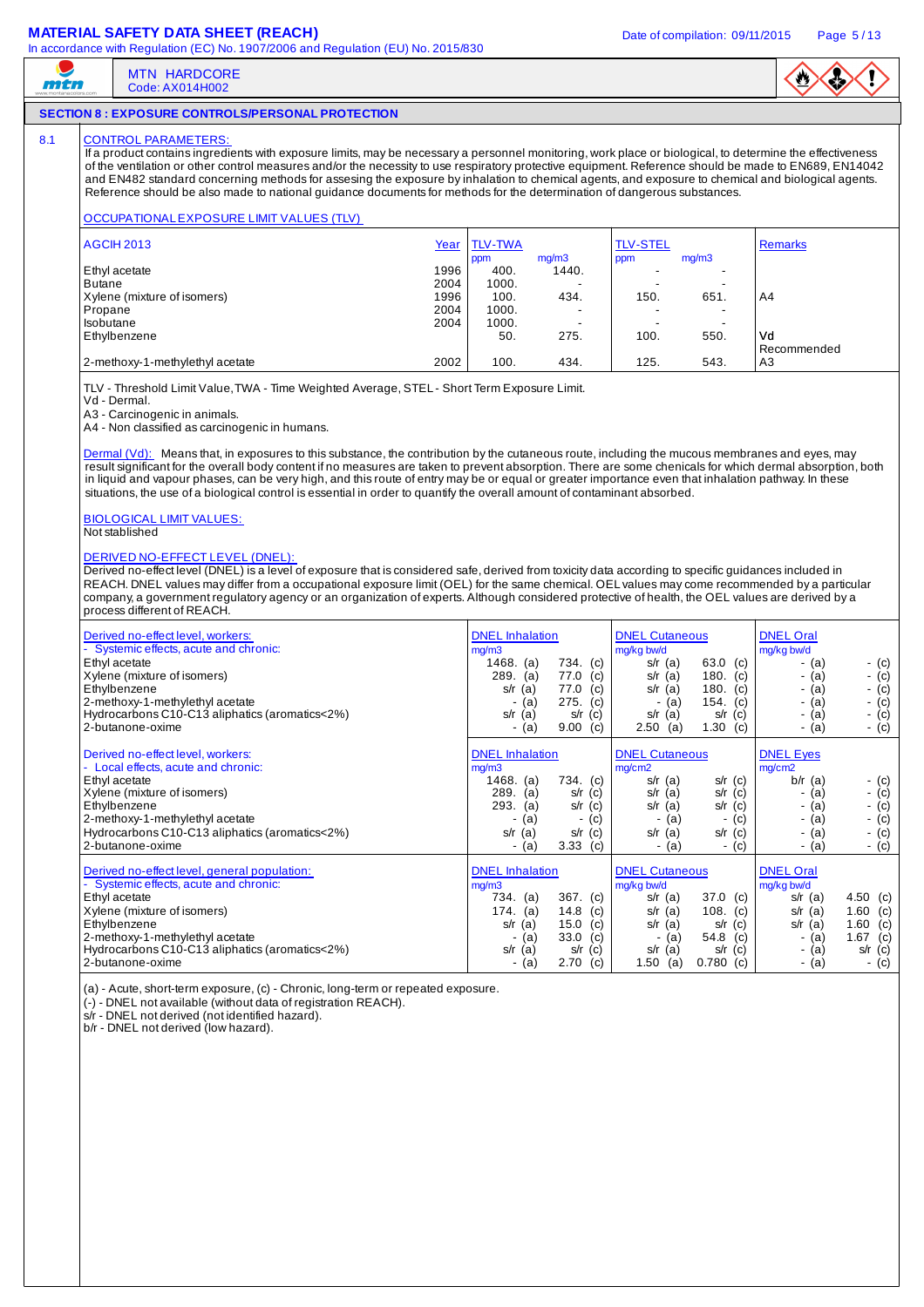## **MATERIAL SAFETY DATA SHEET (REACH)** Date of compilation: 09/11/2015 Page 5/13

MTN HARDCORE Code: AX014H002



### **SECTION 8 : EXPOSURE CONTROLS/PERSONAL PROTECTION**

### 8.1 CONTROL PARAMETERS

mtn

If a product contains ingredients with exposure limits, may be necessary a personnel monitoring, work place or biological, to determine the effectiveness of the ventilation or other control measures and/or the necessity to use respiratory protective equipment. Reference should be made to EN689, EN14042 and EN482 standard concerning methods for assesing the exposure by inhalation to chemical agents, and exposure to chemical and biological agents. Reference should be also made to national guidance documents for methods for the determination of dangerous substances.

#### OCCUPATIONAL EXPOSURE LIMIT VALUES (TLV)

| <b>AGCIH 2013</b>               | Year | <b>TLV-TWA</b> |                          | <b>TLV-STEL</b> |                          | <b>Remarks</b> |
|---------------------------------|------|----------------|--------------------------|-----------------|--------------------------|----------------|
|                                 |      | ppm            | mg/m3                    | ppm             | mq/m3                    |                |
| Ethyl acetate                   | 1996 | 400.           | 1440.                    |                 |                          |                |
| <b>Butane</b>                   | 2004 | 1000.          |                          |                 |                          |                |
| Xylene (mixture of isomers)     | 1996 | 100.           | 434.                     | 150.            | 651.                     | A <sub>4</sub> |
| Propane                         | 2004 | 1000.          | -                        |                 | -                        |                |
| Isobutane                       | 2004 | 1000.          | $\overline{\phantom{a}}$ | -               | $\overline{\phantom{a}}$ |                |
| Ethylbenzene                    |      | 50.            | 275.                     | 100.            | 550.                     | Vd             |
|                                 |      |                |                          |                 |                          | Recommended    |
| 2-methoxy-1-methylethyl acetate | 2002 | 100.           | 434.                     | 125.            | 543.                     | A3             |

TLV - Threshold Limit Value, TWA - Time Weighted Average, STEL - Short Term Exposure Limit.

Vd - Dermal.

A3 - Carcinogenic in animals. A4 - Non classified as carcinogenic in humans.

Dermal (Vd): Means that, in exposures to this substance, the contribution by the cutaneous route, including the mucous membranes and eyes, may result significant for the overall body content if no measures are taken to prevent absorption. There are some chenicals for which dermal absorption, both in liquid and vapour phases, can be very high, and this route of entry may be or equal or greater importance even that inhalation pathway. In these situations, the use of a biological control is essential in order to quantify the overall amount of contaminant absorbed.

BIOLOGICAL LIMIT VALUES:

## Not stablished

#### DERIVED NO-EFFECT LEVEL (DNEL):

Derived no-effect level (DNEL) is a level of exposure that is considered safe, derived from toxicity data according to specific quidances included in REACH. DNEL values may differ from a occupational exposure limit (OEL) for the same chemical. OEL values may come recommended by a particular company, a government regulatory agency or an organization of experts. Although considered protective of health, the OEL values are derived by a process different of REACH.

| Derived no-effect level, workers:<br>- Systemic effects, acute and chronic:<br>Ethyl acetate<br>Xylene (mixture of isomers)<br>Ethylbenzene<br>2-methoxy-1-methylethyl acetate<br>Hydrocarbons C10-C13 aliphatics (aromatics<2%)<br>2-butanone-oxime            | <b>DNEL</b> Inhalation<br>mg/m3<br>1468.<br>734.<br>(c)<br>(a)<br>289.<br>(a)<br>77.0<br>(c)<br>77.0<br>s/r<br>(c)<br>(a)<br>275.<br>(c)<br>(a)<br>s/r<br>s/r<br>(c)<br>(a)<br>9.00<br>(c)<br>(a) | <b>DNEL Cutaneous</b><br>mg/kg bw/d<br>63.0 (c)<br>$s/r$ (a)<br>180.<br>s/r<br>(a)<br>(c)<br>180.<br>$s/r$ (a)<br>(c)<br>154. $(c)$<br>(a)<br>$s/r$ (a)<br>(c)<br>s/r<br>1.30<br>$2.50$ (a)<br>(c)                    | <b>DNEL Oral</b><br>mg/kg bw/d<br>- (c)<br>- (a)<br>- $(c)$<br>- (a)<br>- (c)<br>- (a)<br>- $(c)$<br>- (a)<br>- (c)<br>- (a)<br>- (c)<br>- (a)                                  |
|-----------------------------------------------------------------------------------------------------------------------------------------------------------------------------------------------------------------------------------------------------------------|---------------------------------------------------------------------------------------------------------------------------------------------------------------------------------------------------|-----------------------------------------------------------------------------------------------------------------------------------------------------------------------------------------------------------------------|---------------------------------------------------------------------------------------------------------------------------------------------------------------------------------|
| Derived no-effect level, workers:<br>- Local effects, acute and chronic:<br>Ethyl acetate<br>Xylene (mixture of isomers)<br>Ethylbenzene<br>2-methoxy-1-methylethyl acetate<br>Hydrocarbons C10-C13 aliphatics (aromatics<2%)<br>2-butanone-oxime               | <b>DNEL</b> Inhalation<br>mg/m3<br>1468.<br>734. (c)<br>(a)<br>289.<br>(a)<br>s/r<br>(c)<br>s/r<br>293.<br>(c)<br>(a)<br>(c)<br>(a)<br>s/r<br>(a)<br>s/r<br>(c)<br>3.33<br>(c)<br>(a)<br>۰        | <b>DNEL Cutaneous</b><br>mg/cm2<br>$s/r$ (a)<br>$s/r$ (c)<br>$s/r$ (a)<br>$s/r$ (c)<br>$s/r$ (c)<br>$s/r$ (a)<br>(c)<br>(a<br>٠<br>$s/r$ (a)<br>$s/r$ (c)<br>- (a)<br>- (c)                                           | <b>DNEL Eyes</b><br>mg/cm2<br>$b/r$ (a)<br>$-$ (c)<br>- (c)<br>- (a)<br>- $(c)$<br>- (a)<br>- $(c)$<br>- (a)<br>$-$ (c)<br>- (a)<br>$-$ (c)<br>- (a)                            |
| Derived no-effect level, general population:<br>- Systemic effects, acute and chronic:<br>Ethyl acetate<br>Xylene (mixture of isomers)<br>Ethylbenzene<br>2-methoxy-1-methylethyl acetate<br>Hydrocarbons C10-C13 aliphatics (aromatics<2%)<br>2-butanone-oxime | <b>DNEL</b> Inhalation<br>mg/m3<br>367. (c)<br>734. (a)<br>14.8<br>174.<br>(a)<br>(c)<br>15.0<br>(c)<br>s/r<br>(a)<br>33.0<br>(c)<br>(a)<br>s/r<br>(a)<br>s/r<br>(c)<br>2.70<br>(c)<br>(a)        | <b>DNEL Cutaneous</b><br>mg/kg bw/d<br>$37.0$ (c)<br>$s/r$ (a)<br>108.<br>$s/r$ (a)<br>(c)<br>(C)<br>$s/r$ (a)<br>s/r<br>54.8<br>(c)<br>(a)<br>$\blacksquare$<br>$s/r$ (a)<br>$s/r$ (c)<br>1.50<br>$0.780$ (c)<br>(a) | <b>DNEL Oral</b><br>mg/kg bw/d<br>4.50 (c)<br>$s/r$ (a)<br>$1.60$ (c)<br>$s/r$ (a)<br>$1.60$ (c)<br>(a)<br>s/r<br>1.67 $(c)$<br>- (a)<br>- (a)<br>$s/r$ (c)<br>$-$ (c)<br>- (a) |

(a) - Acute, short-term exposure, (c) - Chronic, long-term or repeated exposure.

(-) - DNEL not available (without data of registration REACH).

s/r - DNEL not derived (not identified hazard).

b/r - DNEL not derived (low hazard).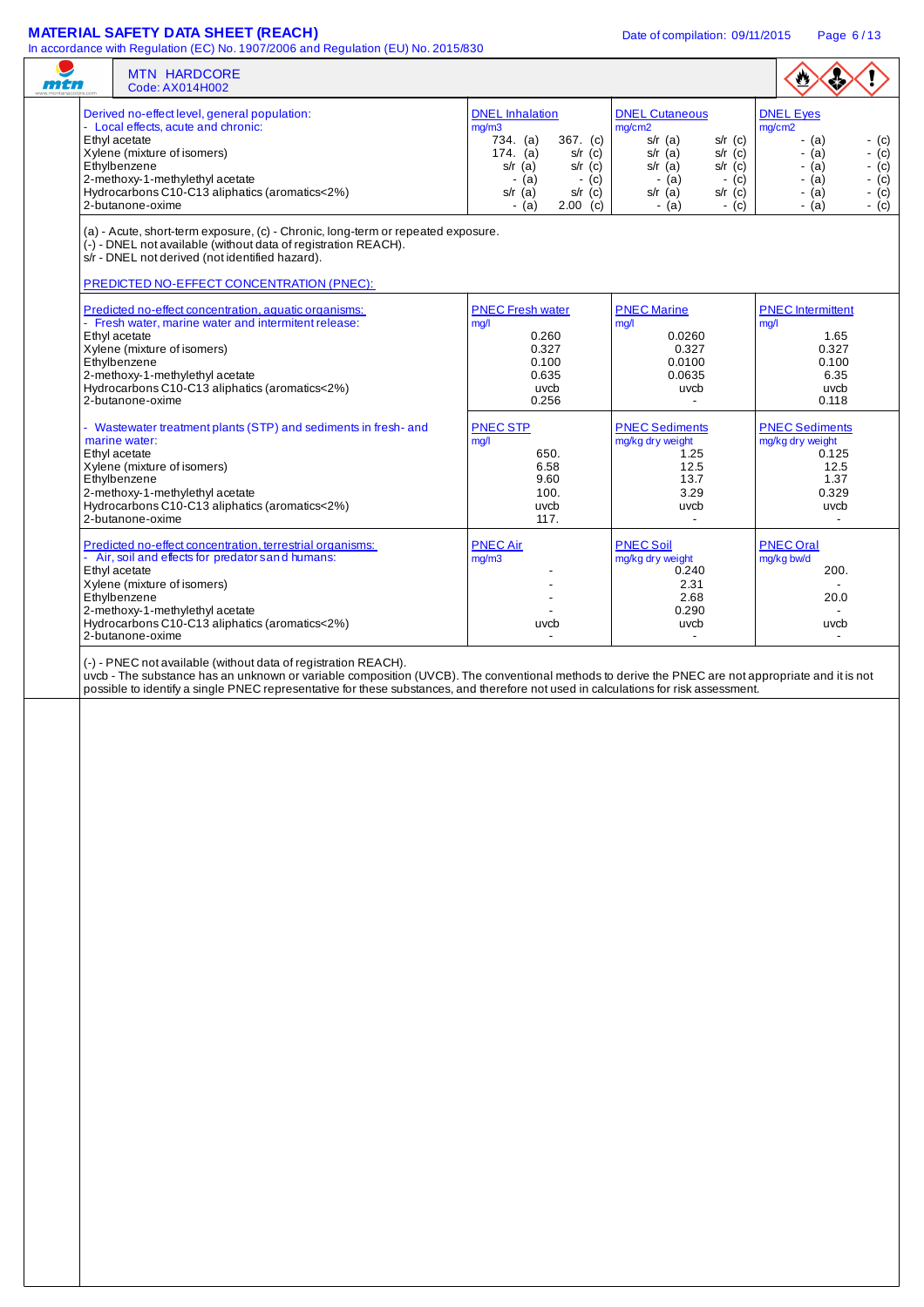## **MATERIAL SAFETY DATA SHEET (REACH)** Date of compilation: 09/11/2015 Page 6/13

| mtn |               | In accordance with regulation (EC) No. 1507/2000 and regulation (EO) No. 2015/050<br><b>MTN HARDCORE</b><br>Code: AX014H002                                                                                                                                                                                                                                |                                                                                                                                                                                     |                                                                                                                                                                                 | $\bullet$                                                                                                                                          |
|-----|---------------|------------------------------------------------------------------------------------------------------------------------------------------------------------------------------------------------------------------------------------------------------------------------------------------------------------------------------------------------------------|-------------------------------------------------------------------------------------------------------------------------------------------------------------------------------------|---------------------------------------------------------------------------------------------------------------------------------------------------------------------------------|----------------------------------------------------------------------------------------------------------------------------------------------------|
|     | Ethyl acetate | Derived no-effect level, general population:<br>- Local effects, acute and chronic:<br>Xylene (mixture of isomers)<br>Ethylbenzene<br>2-methoxy-1-methylethyl acetate<br>Hydrocarbons C10-C13 aliphatics (aromatics<2%)<br>2-butanone-oxime                                                                                                                | <b>DNEL</b> Inhalation<br>mg/m3<br>734. (a)<br>367. (c)<br>174. (a)<br>$s/r$ (c)<br>$s/r$ (a)<br>$s/r$ (c)<br>$-$ (c)<br>$-$ (a)<br>$s/r$ (c)<br>$s/r$ (a)<br>$-$ (a)<br>$2.00$ (c) | <b>DNEL Cutaneous</b><br>mg/cm2<br>$s/r$ (a)<br>$s/r$ (c)<br>$s/r$ (a)<br>$s/r$ (c)<br>$s/r$ (a)<br>$s/r$ (c)<br>$-$ (c)<br>$-$ (a)<br>$s/r$ (a)<br>$s/r$ (c)<br>- (a)<br>- (c) | <b>DNEL Eyes</b><br>mg/cm2<br>$-$ (a)<br>- (c)<br>- (c)<br>- (a)<br>- $(a)$<br>$-(c)$<br>$-$ (a)<br>$-$ (c)<br>- (a)<br>- (c)<br>$-(c)$<br>$-$ (a) |
|     |               | (a) - Acute, short-term exposure, (c) - Chronic, long-term or repeated exposure.<br>(-) - DNEL not available (without data of registration REACH).<br>s/r - DNEL not derived (not identified hazard).<br>PREDICTED NO-EFFECT CONCENTRATION (PNEC):                                                                                                         |                                                                                                                                                                                     |                                                                                                                                                                                 |                                                                                                                                                    |
|     | Ethyl acetate | Predicted no-effect concentration, aquatic organisms:<br>- Fresh water, marine water and intermitent release:<br>Xylene (mixture of isomers)<br>Ethylbenzene<br>2-methoxy-1-methylethyl acetate<br>Hydrocarbons C10-C13 aliphatics (aromatics<2%)<br>2-butanone-oxime                                                                                      | <b>PNEC Fresh water</b><br>mq/l<br>0.260<br>0.327<br>0.100<br>0.635<br>uvcb<br>0.256                                                                                                | <b>PNEC Marine</b><br>mg/l<br>0.0260<br>0.327<br>0.0100<br>0.0635<br>uvcb<br>$\overline{a}$                                                                                     | <b>PNEC</b> Intermittent<br>mg/l<br>1.65<br>0.327<br>0.100<br>6.35<br>uvcb<br>0.118                                                                |
|     | Ethyl acetate | - Wastewater treatment plants (STP) and sediments in fresh- and<br>marine water:<br>Xylene (mixture of isomers)<br>Ethylbenzene<br>2-methoxy-1-methylethyl acetate<br>Hydrocarbons C10-C13 aliphatics (aromatics<2%)<br>2-butanone-oxime                                                                                                                   | <b>PNEC STP</b><br>mg/l<br>650.<br>6.58<br>9.60<br>100.<br>uvcb<br>117.                                                                                                             | <b>PNEC Sediments</b><br>mg/kg dry weight<br>1.25<br>12.5<br>13.7<br>3.29<br>uvcb<br>$\blacksquare$                                                                             | <b>PNEC Sediments</b><br>mg/kg dry weight<br>0.125<br>12.5<br>1.37<br>0.329<br>uvcb<br>$\overline{\phantom{a}}$                                    |
|     | Ethyl acetate | Predicted no-effect concentration, terrestrial organisms:<br>- Air, soil and effects for predator s and humans:<br>Xylene (mixture of isomers)<br>Ethylbenzene<br>2-methoxy-1-methylethyl acetate<br>Hydrocarbons C10-C13 aliphatics (aromatics<2%)<br>2-butanone-oxime                                                                                    | <b>PNEC Air</b><br>mg/m3<br>uvcb                                                                                                                                                    | <b>PNEC Soil</b><br>mg/kg dry weight<br>0.240<br>2.31<br>2.68<br>0.290<br>uvcb                                                                                                  | <b>PNEC Oral</b><br>mg/kg bw/d<br>200.<br>20.0<br>$\overline{\phantom{a}}$<br>uvcb                                                                 |
|     |               | (-) - PNEC not available (without data of registration REACH).<br>uvcb - The substance has an unknown or variable composition (UVCB). The conventional methods to derive the PNEC are not appropriate and it is not<br>possible to identify a single PNEC representative for these substances, and therefore not used in calculations for risk assessment. |                                                                                                                                                                                     |                                                                                                                                                                                 |                                                                                                                                                    |
|     |               |                                                                                                                                                                                                                                                                                                                                                            |                                                                                                                                                                                     |                                                                                                                                                                                 |                                                                                                                                                    |
|     |               |                                                                                                                                                                                                                                                                                                                                                            |                                                                                                                                                                                     |                                                                                                                                                                                 |                                                                                                                                                    |
|     |               |                                                                                                                                                                                                                                                                                                                                                            |                                                                                                                                                                                     |                                                                                                                                                                                 |                                                                                                                                                    |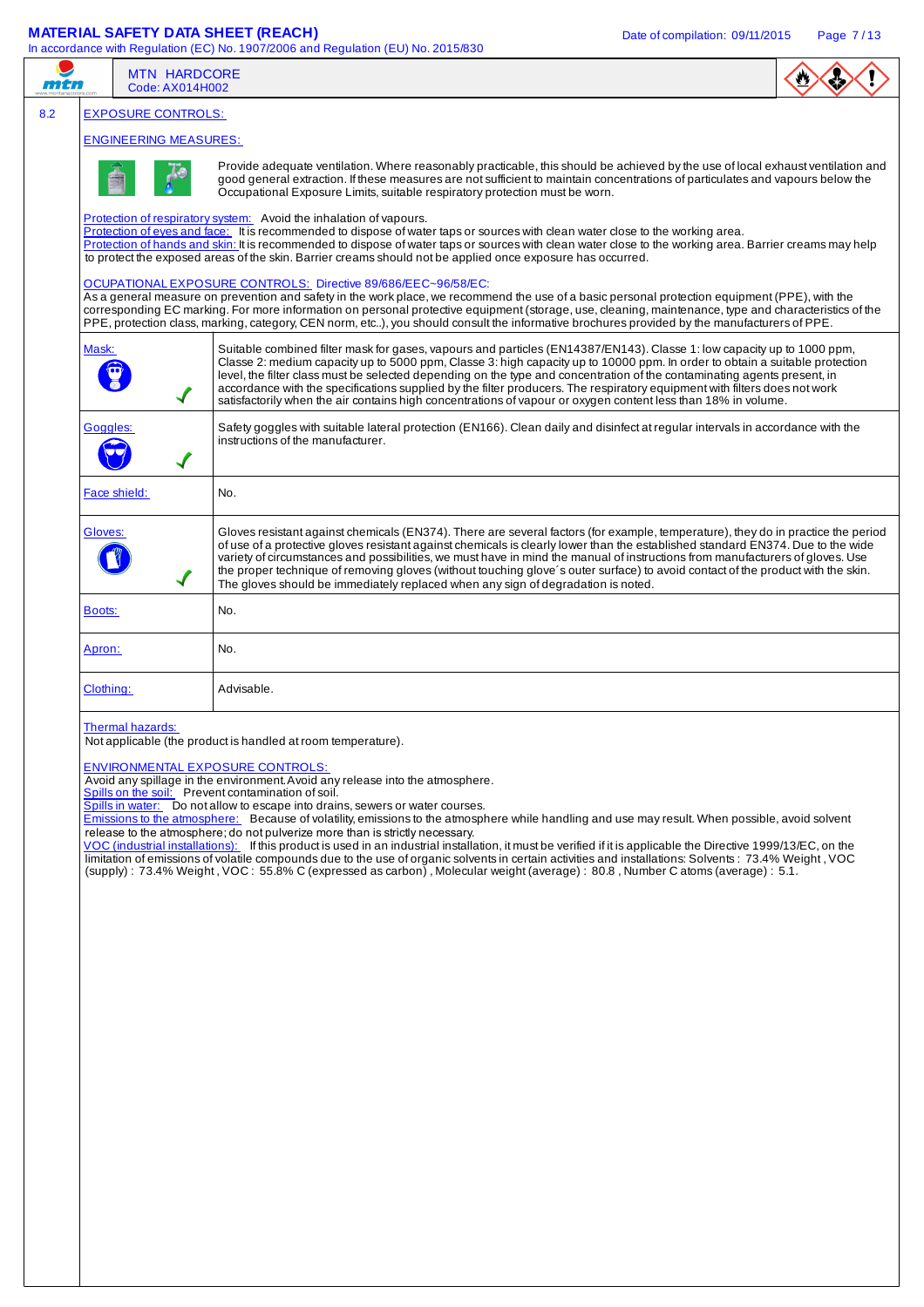# **MATERIAL SAFETY DATA SHEET (REACH)** Date of compilation: 09/11/2015 Page 7/13

|     |           | <b>MTN HARDCORE</b>          | In accordance with Regulation (EC) No. 1907/2006 and Regulation (EU) No. 2015/830                                                                                                                                                                                                                                                                                                                                                                                                                                                                                                                                                                                                                                                                                                                                                                                                                                                                                                                                              |  |
|-----|-----------|------------------------------|--------------------------------------------------------------------------------------------------------------------------------------------------------------------------------------------------------------------------------------------------------------------------------------------------------------------------------------------------------------------------------------------------------------------------------------------------------------------------------------------------------------------------------------------------------------------------------------------------------------------------------------------------------------------------------------------------------------------------------------------------------------------------------------------------------------------------------------------------------------------------------------------------------------------------------------------------------------------------------------------------------------------------------|--|
| mtn |           | Code: AX014H002              |                                                                                                                                                                                                                                                                                                                                                                                                                                                                                                                                                                                                                                                                                                                                                                                                                                                                                                                                                                                                                                |  |
| 8.2 |           | <b>EXPOSURE CONTROLS:</b>    |                                                                                                                                                                                                                                                                                                                                                                                                                                                                                                                                                                                                                                                                                                                                                                                                                                                                                                                                                                                                                                |  |
|     |           | <b>ENGINEERING MEASURES:</b> | Provide adequate ventilation. Where reasonably practicable, this should be achieved by the use of local exhaust ventilation and<br>good general extraction. If these measures are not sufficient to maintain concentrations of particulates and vapours below the<br>Occupational Exposure Limits, suitable respiratory protection must be worn.                                                                                                                                                                                                                                                                                                                                                                                                                                                                                                                                                                                                                                                                               |  |
|     |           |                              | Protection of respiratory system: Avoid the inhalation of vapours.<br>Protection of eyes and face: It is recommended to dispose of water taps or sources with clean water close to the working area.<br>Protection of hands and skin: It is recommended to dispose of water taps or sources with clean water close to the working area. Barrier creams may help<br>to protect the exposed areas of the skin. Barrier creams should not be applied once exposure has occurred.                                                                                                                                                                                                                                                                                                                                                                                                                                                                                                                                                  |  |
|     |           |                              | OCUPATIONALEXPOSURE CONTROLS: Directive 89/686/EEC~96/58/EC:<br>As a general measure on prevention and safety in the work place, we recommend the use of a basic personal protection equipment (PPE), with the<br>corresponding EC marking. For more information on personal protective equipment (storage, use, cleaning, maintenance, type and characteristics of the<br>PPE, protection class, marking, category, CEN norm, etc), you should consult the informative brochures provided by the manufacturers of PPE.                                                                                                                                                                                                                                                                                                                                                                                                                                                                                                        |  |
|     | Mask:     |                              | Suitable combined filter mask for gases, vapours and particles (EN14387/EN143). Classe 1: low capacity up to 1000 ppm,<br>Classe 2: medium capacity up to 5000 ppm, Classe 3: high capacity up to 10000 ppm. In order to obtain a suitable protection<br>level, the filter class must be selected depending on the type and concentration of the contaminating agents present, in<br>accordance with the specifications supplied by the filter producers. The respiratory equipment with filters does not work<br>satisfactorily when the air contains high concentrations of vapour or oxygen content less than 18% in volume.                                                                                                                                                                                                                                                                                                                                                                                                |  |
|     | Goggles:  |                              | Safety goggles with suitable lateral protection (EN166). Clean daily and disinfect at regular intervals in accordance with the<br>instructions of the manufacturer.                                                                                                                                                                                                                                                                                                                                                                                                                                                                                                                                                                                                                                                                                                                                                                                                                                                            |  |
|     |           | Face shield:                 | No.                                                                                                                                                                                                                                                                                                                                                                                                                                                                                                                                                                                                                                                                                                                                                                                                                                                                                                                                                                                                                            |  |
|     | Gloves:   |                              | Gloves resistant against chemicals (EN374). There are several factors (for example, temperature), they do in practice the period<br>of use of a protective gloves resistant against chemicals is clearly lower than the established standard EN374. Due to the wide<br>variety of circumstances and possibilities, we must have in mind the manual of instructions from manufacturers of gloves. Use<br>the proper technique of removing gloves (without touching glove's outer surface) to avoid contact of the product with the skin.<br>The gloves should be immediately replaced when any sign of degradation is noted.                                                                                                                                                                                                                                                                                                                                                                                                    |  |
|     | Boots:    |                              | No.                                                                                                                                                                                                                                                                                                                                                                                                                                                                                                                                                                                                                                                                                                                                                                                                                                                                                                                                                                                                                            |  |
|     | Apron:    |                              | No.                                                                                                                                                                                                                                                                                                                                                                                                                                                                                                                                                                                                                                                                                                                                                                                                                                                                                                                                                                                                                            |  |
|     | Clothing: |                              | Advisable.                                                                                                                                                                                                                                                                                                                                                                                                                                                                                                                                                                                                                                                                                                                                                                                                                                                                                                                                                                                                                     |  |
|     |           | Thermal hazards:             | Not applicable (the product is handled at room temperature).<br><b>ENVIRONMENTAL EXPOSURE CONTROLS:</b><br>Avoid any spillage in the environment. Avoid any release into the atmosphere.<br>Spills on the soil: Prevent contamination of soil.<br>Spills in water: Do not allow to escape into drains, sewers or water courses.<br>Emissions to the atmosphere: Because of volatility, emissions to the atmosphere while handling and use may result. When possible, avoid solvent<br>release to the atmosphere: do not pulverize more than is strictly necessary.<br>VOC (industrial installations): If this product is used in an industrial installation, it must be verified if it is applicable the Directive 1999/13/EC, on the<br>limitation of emissions of volatile compounds due to the use of organic solvents in certain activities and installations: Solvents: 73.4% Weight, VOC<br>(supply): 73.4% Weight, VOC: 55.8% C (expressed as carbon), Molecular weight (average): 80.8, Number C atoms (average): 5.1. |  |
|     |           |                              |                                                                                                                                                                                                                                                                                                                                                                                                                                                                                                                                                                                                                                                                                                                                                                                                                                                                                                                                                                                                                                |  |
|     |           |                              |                                                                                                                                                                                                                                                                                                                                                                                                                                                                                                                                                                                                                                                                                                                                                                                                                                                                                                                                                                                                                                |  |
|     |           |                              |                                                                                                                                                                                                                                                                                                                                                                                                                                                                                                                                                                                                                                                                                                                                                                                                                                                                                                                                                                                                                                |  |
|     |           |                              |                                                                                                                                                                                                                                                                                                                                                                                                                                                                                                                                                                                                                                                                                                                                                                                                                                                                                                                                                                                                                                |  |
|     |           |                              |                                                                                                                                                                                                                                                                                                                                                                                                                                                                                                                                                                                                                                                                                                                                                                                                                                                                                                                                                                                                                                |  |
|     |           |                              |                                                                                                                                                                                                                                                                                                                                                                                                                                                                                                                                                                                                                                                                                                                                                                                                                                                                                                                                                                                                                                |  |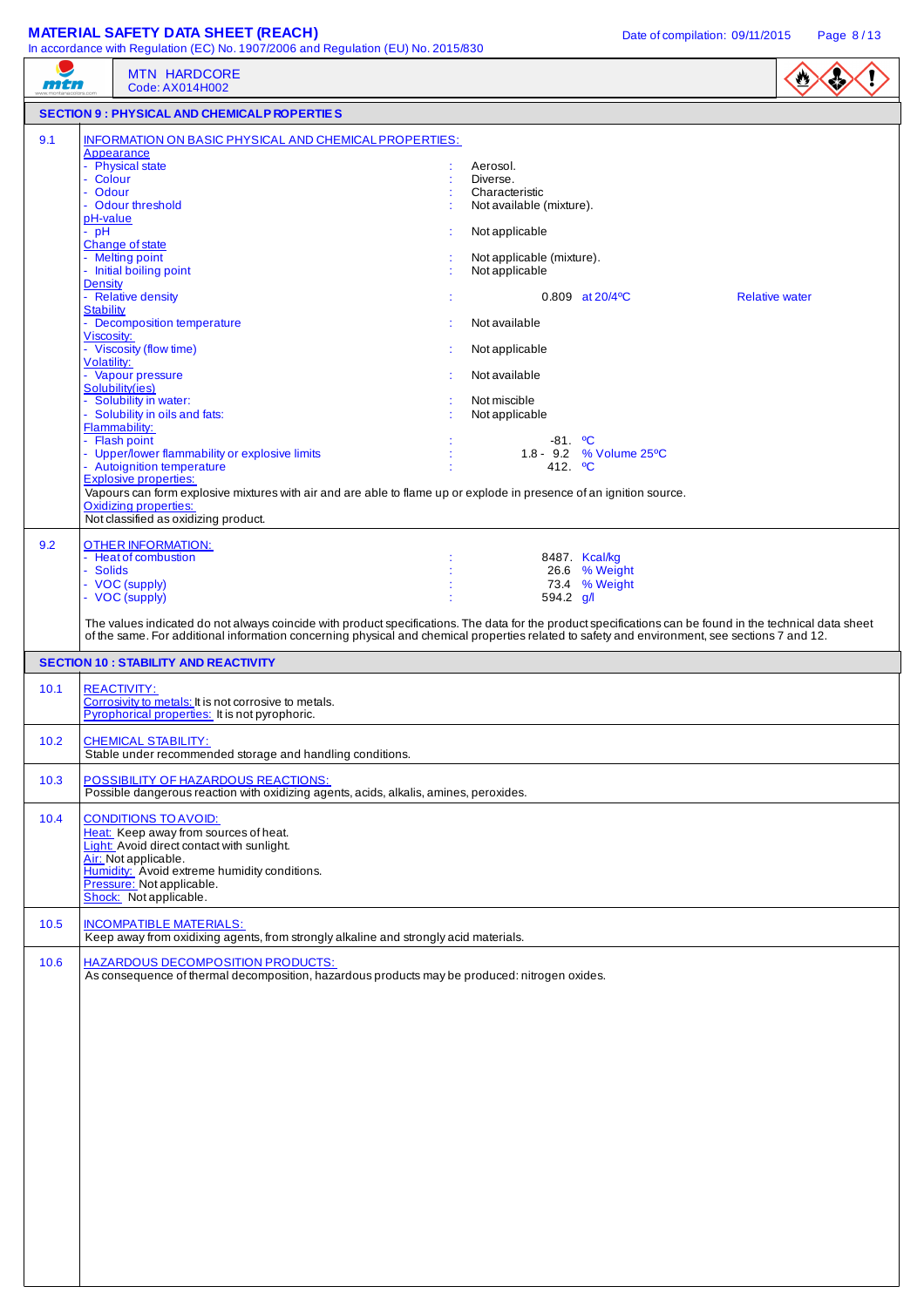| mtn  | <b>MTN HARDCORE</b><br>Code: AX014H002                                                                                                                                                                                                                                                                                                                                                                                                                                                                                                                                                                                                                                            |                                                                                                                                                                                                                                                                                                                                                 |
|------|-----------------------------------------------------------------------------------------------------------------------------------------------------------------------------------------------------------------------------------------------------------------------------------------------------------------------------------------------------------------------------------------------------------------------------------------------------------------------------------------------------------------------------------------------------------------------------------------------------------------------------------------------------------------------------------|-------------------------------------------------------------------------------------------------------------------------------------------------------------------------------------------------------------------------------------------------------------------------------------------------------------------------------------------------|
|      | <b>SECTION 9 : PHYSICAL AND CHEMICALP ROPERTIES</b>                                                                                                                                                                                                                                                                                                                                                                                                                                                                                                                                                                                                                               |                                                                                                                                                                                                                                                                                                                                                 |
| 9.1  | INFORMATION ON BASIC PHYSICAL AND CHEMICAL PROPERTIES:<br>Appearance                                                                                                                                                                                                                                                                                                                                                                                                                                                                                                                                                                                                              |                                                                                                                                                                                                                                                                                                                                                 |
|      | - Physical state<br>- Colour<br>Odour<br>- Odour threshold<br>pH-value<br>$-$ pH<br>Change of state<br>- Melting point<br>- Initial boiling point<br><b>Density</b><br>- Relative density<br><b>Stability</b><br>- Decomposition temperature<br>Viscosity:<br>- Viscosity (flow time)<br>Volatility:<br>- Vapour pressure<br>Solubility(ies)<br>- Solubility in water:<br>- Solubility in oils and fats:<br>Flammability:<br>- Flash point<br>- Upper/lower flammability or explosive limits<br>- Autoignition temperature<br><b>Explosive properties:</b><br>Vapours can form explosive mixtures with air and are able to flame up or explode in presence of an ignition source. | Aerosol.<br>Diverse.<br>Characteristic<br>Not available (mixture).<br>Not applicable<br>Not applicable (mixture).<br>Not applicable<br>$0.809$ at $20/4$ <sup>o</sup> C<br><b>Relative water</b><br>Not available<br>Not applicable<br>Not available<br>Not miscible<br>Not applicable<br>$-81.$ °C<br>1.8 - 9.2 % Volume 25°C<br>412. <b>C</b> |
| 9.2  | <b>Oxidizing properties:</b><br>Not classified as oxidizing product.<br><b>OTHER INFORMATION:</b><br>- Heat of combustion<br>- Solids<br>- VOC (supply)                                                                                                                                                                                                                                                                                                                                                                                                                                                                                                                           | 8487. Kcal/kg<br>26.6 % Weight<br>73.4 % Weight                                                                                                                                                                                                                                                                                                 |
| 10.1 | <b>SECTION 10 : STABILITY AND REACTIVITY</b><br><b>REACTIVITY:</b><br>Corrosivity to metals: It is not corrosive to metals.                                                                                                                                                                                                                                                                                                                                                                                                                                                                                                                                                       | The values indicated do not always coincide with product specifications. The data for the product specifications can be found in the technical data sheet<br>of the same. For additional information concerning physical and chemical properties related to safety and environment, see sections 7 and 12.                                      |
| 10.2 | Pyrophorical properties: It is not pyrophoric.<br><b>CHEMICAL STABILITY:</b><br>Stable under recommended storage and handling conditions.                                                                                                                                                                                                                                                                                                                                                                                                                                                                                                                                         |                                                                                                                                                                                                                                                                                                                                                 |
| 10.3 | POSSIBILITY OF HAZARDOUS REACTIONS:<br>Possible dangerous reaction with oxidizing agents, acids, alkalis, amines, peroxides.                                                                                                                                                                                                                                                                                                                                                                                                                                                                                                                                                      |                                                                                                                                                                                                                                                                                                                                                 |
| 10.4 | <b>CONDITIONS TO AVOID:</b><br>Heat: Keep away from sources of heat.<br>Light: Avoid direct contact with sunlight.<br>Air: Not applicable.<br>Humidity: Avoid extreme humidity conditions.<br>Pressure: Not applicable.<br>Shock: Not applicable.                                                                                                                                                                                                                                                                                                                                                                                                                                 |                                                                                                                                                                                                                                                                                                                                                 |
| 10.5 | <b>INCOMPATIBLE MATERIALS:</b><br>Keep away from oxidixing agents, from strongly alkaline and strongly acid materials.                                                                                                                                                                                                                                                                                                                                                                                                                                                                                                                                                            |                                                                                                                                                                                                                                                                                                                                                 |
| 10.6 | <b>HAZARDOUS DECOMPOSITION PRODUCTS:</b><br>As consequence of thermal decomposition, hazardous products may be produced: nitrogen oxides.                                                                                                                                                                                                                                                                                                                                                                                                                                                                                                                                         |                                                                                                                                                                                                                                                                                                                                                 |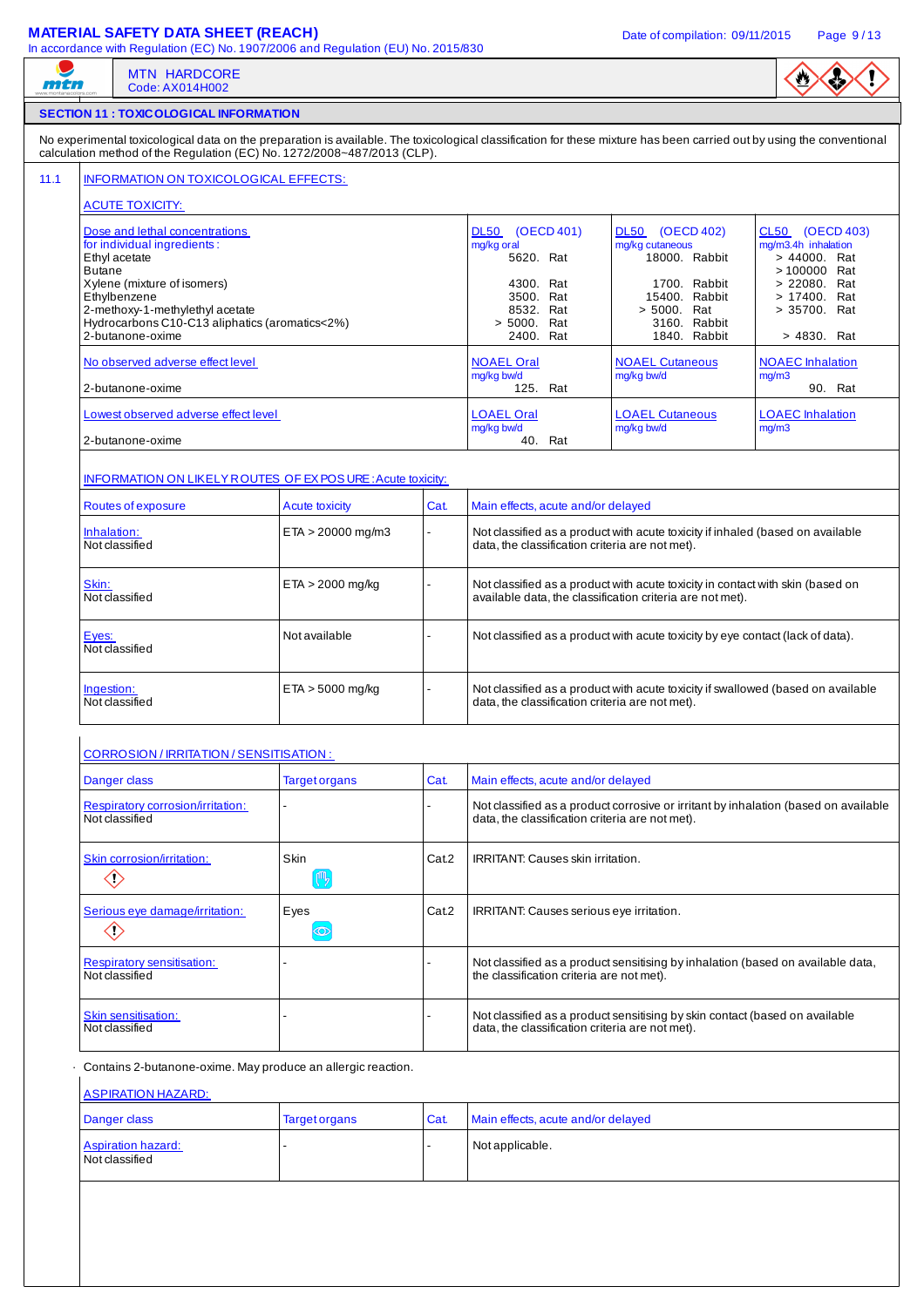## **MATERIAL SAFETY DATA SHEET (REACH)** Date of compilation: 09/11/2015 Page 9/13

| mtn                                                                                                                       | <b>MTN HARDCORE</b><br>Code: AX014H002                                                                                               |                                                                         |       |                                                                                                                                             |                                                                                  |                                                                                                                                                                       |  |  |
|---------------------------------------------------------------------------------------------------------------------------|--------------------------------------------------------------------------------------------------------------------------------------|-------------------------------------------------------------------------|-------|---------------------------------------------------------------------------------------------------------------------------------------------|----------------------------------------------------------------------------------|-----------------------------------------------------------------------------------------------------------------------------------------------------------------------|--|--|
|                                                                                                                           | <b>SECTION 11 : TOXIC OLOGICAL INFORMATION</b>                                                                                       |                                                                         |       |                                                                                                                                             |                                                                                  |                                                                                                                                                                       |  |  |
|                                                                                                                           |                                                                                                                                      | calculation method of the Regulation (EC) No. 1272/2008~487/2013 (CLP). |       |                                                                                                                                             |                                                                                  | No experimental toxicological data on the preparation is available. The toxicological classification for these mixture has been carried out by using the conventional |  |  |
|                                                                                                                           | INFORMATION ON TOXICOLOGICAL EFFECTS:                                                                                                |                                                                         |       |                                                                                                                                             |                                                                                  |                                                                                                                                                                       |  |  |
| <b>ACUTE TOXICITY:</b><br>Dose and lethal concentrations<br>for individual ingredients:<br>Ethyl acetate<br><b>Butane</b> |                                                                                                                                      |                                                                         |       | DL50 (OECD 401)<br>mg/kg oral<br>5620. Rat                                                                                                  | DL50 (OECD 402)<br>mg/kg cutaneous<br>18000. Rabbit                              | CL50 (OECD 403)<br>mg/m3.4h inhalation<br>> 44000. Rat<br>>100000 Rat                                                                                                 |  |  |
| Ethylbenzene                                                                                                              | Xylene (mixture of isomers)<br>2-methoxy-1-methylethyl acetate<br>Hydrocarbons C10-C13 aliphatics (aromatics<2%)<br>2-butanone-oxime |                                                                         |       | 4300. Rat<br>3500. Rat<br>8532. Rat<br>> 5000. Rat<br>2400. Rat                                                                             | 1700. Rabbit<br>15400. Rabbit<br>> 5000. Rat<br>3160. Rabbit<br>1840. Rabbit     | > 22080. Rat<br>> 17400. Rat<br>> 35700. Rat<br>> 4830. Rat                                                                                                           |  |  |
| 2-butanone-oxime                                                                                                          | No observed adverse effect level                                                                                                     |                                                                         |       | <b>NOAEL Oral</b><br>mg/kg bw/d<br>125. Rat                                                                                                 | <b>NOAEL Cutaneous</b><br>mg/kg bw/d                                             | <b>NOAEC</b> Inhalation<br>mg/m3<br>90. Rat                                                                                                                           |  |  |
| 2-butanone-oxime                                                                                                          | Lowest observed adverse effect level                                                                                                 |                                                                         |       | <b>LOAEL Oral</b><br>mg/kg bw/d<br>40. Rat                                                                                                  | <b>LOAEL Cutaneous</b><br>mg/kg bw/d                                             | <b>LOAEC</b> Inhalation<br>mg/m3                                                                                                                                      |  |  |
|                                                                                                                           |                                                                                                                                      | <b>INFORMATION ON LIKELY ROUTES OF EX POSURE: Acute toxicity:</b>       |       |                                                                                                                                             |                                                                                  |                                                                                                                                                                       |  |  |
| Routes of exposure<br>Inhalation:<br>Not classified                                                                       |                                                                                                                                      | <b>Acute toxicity</b><br>$ETA > 20000$ mg/m3                            | Cat.  | Main effects, acute and/or delayed<br>data, the classification criteria are not met).                                                       | Not classified as a product with acute toxicity if inhaled (based on available   |                                                                                                                                                                       |  |  |
| Skin:<br>Not classified                                                                                                   |                                                                                                                                      | $ETA > 2000$ mg/kg                                                      |       | Not classified as a product with acute toxicity in contact with skin (based on<br>available data, the classification criteria are not met). |                                                                                  |                                                                                                                                                                       |  |  |
| Eyes:<br>Not classified                                                                                                   |                                                                                                                                      | Not available                                                           |       |                                                                                                                                             | Not classified as a product with acute toxicity by eye contact (lack of data).   |                                                                                                                                                                       |  |  |
| Ingestion:<br>Not classified                                                                                              |                                                                                                                                      | $ETA > 5000$ mg/kg                                                      |       | data, the classification criteria are not met).                                                                                             | Not classified as a product with acute toxicity if swallowed (based on available |                                                                                                                                                                       |  |  |
|                                                                                                                           | <b>CORROSION / IRRITATION / SENSITISATION:</b>                                                                                       |                                                                         |       |                                                                                                                                             |                                                                                  |                                                                                                                                                                       |  |  |
| Danger class                                                                                                              |                                                                                                                                      | <b>Target organs</b>                                                    | Cat.  | Main effects, acute and/or delayed                                                                                                          |                                                                                  |                                                                                                                                                                       |  |  |
| Respiratory corrosion/irritation:<br>Not classified                                                                       |                                                                                                                                      |                                                                         |       | data, the classification criteria are not met).                                                                                             |                                                                                  | Not classified as a product corrosive or irritant by inhalation (based on available                                                                                   |  |  |
| Skin corrosion/irritation:<br>$\diamondsuit$                                                                              |                                                                                                                                      | Skin<br>$(\mathbb{m}_{\mathbb{Z}})$                                     | Cat.2 | <b>IRRITANT: Causes skin irritation.</b>                                                                                                    |                                                                                  |                                                                                                                                                                       |  |  |
| Serious eye damage/irritation:<br>$\diamondsuit$                                                                          |                                                                                                                                      | Eyes<br>$\circledcirc$                                                  | Cat.2 | <b>IRRITANT: Causes serious eye irritation.</b>                                                                                             |                                                                                  |                                                                                                                                                                       |  |  |
| <b>Respiratory sensitisation:</b><br>Not classified                                                                       |                                                                                                                                      |                                                                         |       | the classification criteria are not met).                                                                                                   | Not classified as a product sensitising by inhalation (based on available data,  |                                                                                                                                                                       |  |  |
| Skin sensitisation:<br>Not classified                                                                                     |                                                                                                                                      |                                                                         |       | Not classified as a product sensitising by skin contact (based on available<br>data, the classification criteria are not met).              |                                                                                  |                                                                                                                                                                       |  |  |
| <b>ASPIRATION HAZARD:</b>                                                                                                 |                                                                                                                                      | Contains 2-butanone-oxime. May produce an allergic reaction.            |       |                                                                                                                                             |                                                                                  |                                                                                                                                                                       |  |  |
|                                                                                                                           |                                                                                                                                      |                                                                         |       |                                                                                                                                             |                                                                                  |                                                                                                                                                                       |  |  |
| Danger class<br><b>Aspiration hazard:</b><br>Not classified                                                               |                                                                                                                                      | <b>Target organs</b>                                                    | Cat.  | Main effects, acute and/or delayed<br>Not applicable.                                                                                       |                                                                                  |                                                                                                                                                                       |  |  |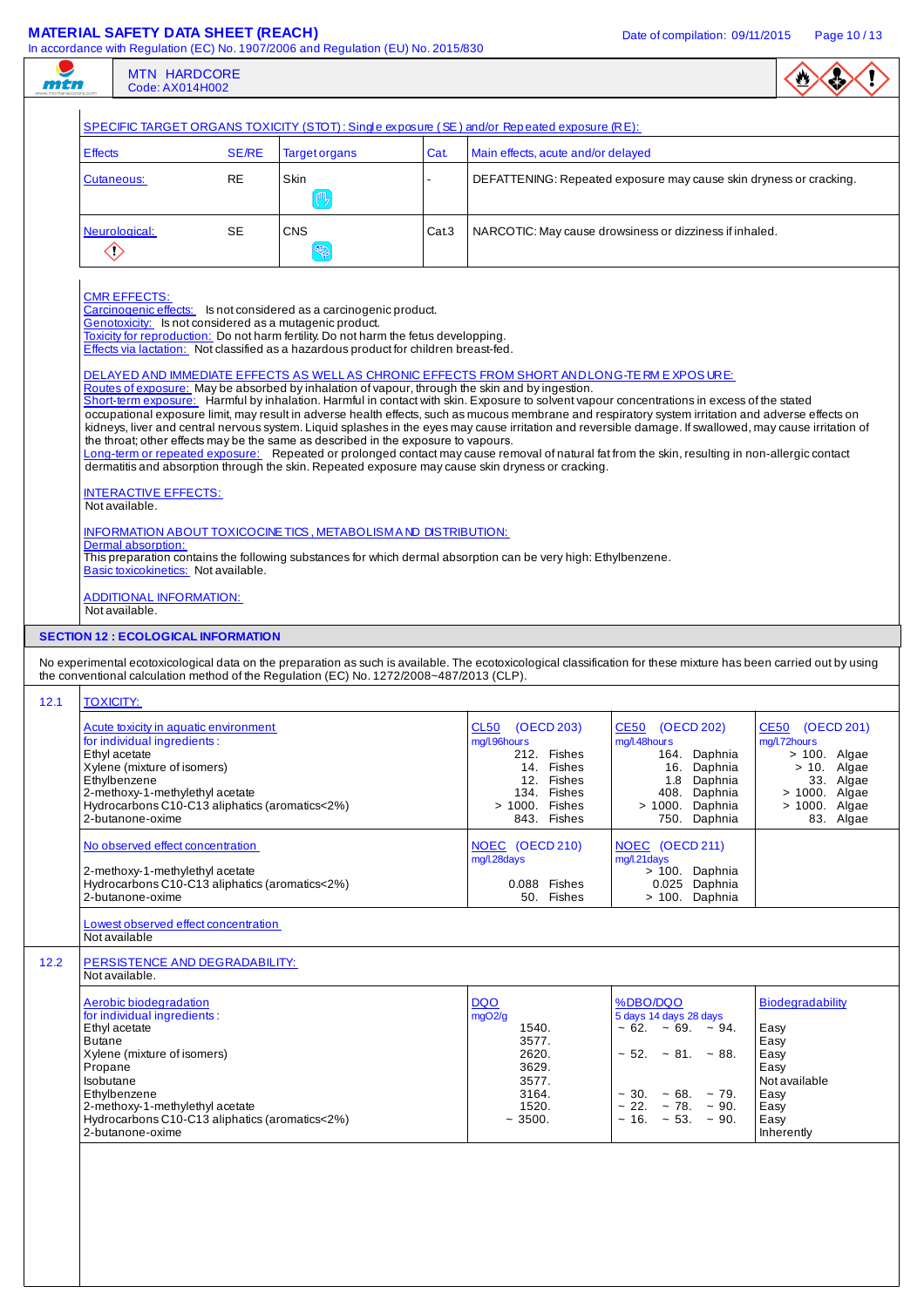| man  | <b>MTN HARDCORE</b><br>Code: AX014H002                                                                                                                                                                                                                                                                                                |              |                                                                                                                                                                                                                                                                                                                                                                                             |       |                                                                                                                            |                                                                                                                                                                                                                                                                                                                                                                                                                                                                                                                                                                                                                   |                                                                                                                                  |  |  |
|------|---------------------------------------------------------------------------------------------------------------------------------------------------------------------------------------------------------------------------------------------------------------------------------------------------------------------------------------|--------------|---------------------------------------------------------------------------------------------------------------------------------------------------------------------------------------------------------------------------------------------------------------------------------------------------------------------------------------------------------------------------------------------|-------|----------------------------------------------------------------------------------------------------------------------------|-------------------------------------------------------------------------------------------------------------------------------------------------------------------------------------------------------------------------------------------------------------------------------------------------------------------------------------------------------------------------------------------------------------------------------------------------------------------------------------------------------------------------------------------------------------------------------------------------------------------|----------------------------------------------------------------------------------------------------------------------------------|--|--|
|      |                                                                                                                                                                                                                                                                                                                                       |              | SPECIFIC TARGET ORGANS TOXICITY (STOT): Single exposure (SE) and/or Repeated exposure (RE):                                                                                                                                                                                                                                                                                                 |       |                                                                                                                            |                                                                                                                                                                                                                                                                                                                                                                                                                                                                                                                                                                                                                   |                                                                                                                                  |  |  |
|      | <b>Effects</b>                                                                                                                                                                                                                                                                                                                        | <b>SE/RE</b> | <b>Target organs</b>                                                                                                                                                                                                                                                                                                                                                                        | Cat.  | Main effects, acute and/or delayed                                                                                         |                                                                                                                                                                                                                                                                                                                                                                                                                                                                                                                                                                                                                   |                                                                                                                                  |  |  |
|      | Cutaneous:                                                                                                                                                                                                                                                                                                                            | RE           | Skin<br>( <sup>m</sup> <sub>2</sub>                                                                                                                                                                                                                                                                                                                                                         |       |                                                                                                                            | DEFATTENING: Repeated exposure may cause skin dryness or cracking.                                                                                                                                                                                                                                                                                                                                                                                                                                                                                                                                                |                                                                                                                                  |  |  |
|      | <b>SE</b><br>Neurological:<br>$\diamondsuit$                                                                                                                                                                                                                                                                                          |              | <b>CNS</b><br>E                                                                                                                                                                                                                                                                                                                                                                             | Cat.3 |                                                                                                                            | NARCOTIC: May cause drowsiness or dizziness if inhaled.                                                                                                                                                                                                                                                                                                                                                                                                                                                                                                                                                           |                                                                                                                                  |  |  |
|      | <b>CMR EFFECTS:</b><br>Carcinogenic effects: Is not considered as a carcinogenic product.<br>Genotoxicity: Is not considered as a mutagenic product.<br>Toxicity for reproduction: Do not harm fertility. Do not harm the fetus developping.<br>Effects via lactation: Not classified as a hazardous product for children breast-fed. |              |                                                                                                                                                                                                                                                                                                                                                                                             |       |                                                                                                                            |                                                                                                                                                                                                                                                                                                                                                                                                                                                                                                                                                                                                                   |                                                                                                                                  |  |  |
|      |                                                                                                                                                                                                                                                                                                                                       |              | DELAYED AND IMMEDIATE EFFECTS AS WELL AS CHRONIC EFFECTS FROM SHORT ANDLONG-TE RM E XPOS URE:<br>Routes of exposure: May be absorbed by inhalation of vapour, through the skin and by ingestion.<br>the throat; other effects may be the same as described in the exposure to vapours.<br>dermatitis and absorption through the skin. Repeated exposure may cause skin dryness or cracking. |       |                                                                                                                            | Short-term exposure: Harmful by inhalation. Harmful in contact with skin. Exposure to solvent vapour concentrations in excess of the stated<br>occupational exposure limit, may result in adverse health effects, such as mucous membrane and respiratory system irritation and adverse effects on<br>kidneys, liver and central nervous system. Liquid splashes in the eyes may cause irritation and reversible damage. If swallowed, may cause irritation of<br>Long-term or repeated exposure: Repeated or prolonged contact may cause removal of natural fat from the skin, resulting in non-allergic contact |                                                                                                                                  |  |  |
|      | <b>INTERACTIVE EFFECTS:</b><br>Not available.                                                                                                                                                                                                                                                                                         |              |                                                                                                                                                                                                                                                                                                                                                                                             |       |                                                                                                                            |                                                                                                                                                                                                                                                                                                                                                                                                                                                                                                                                                                                                                   |                                                                                                                                  |  |  |
|      | Dermal absorption:<br>Basic toxicokinetics: Not available.                                                                                                                                                                                                                                                                            |              | INFORMATION ABOUT TOXICOCINE TICS, METABOLISM AND DISTRIBUTION:<br>This preparation contains the following substances for which dermal absorption can be very high: Ethylbenzene.                                                                                                                                                                                                           |       |                                                                                                                            |                                                                                                                                                                                                                                                                                                                                                                                                                                                                                                                                                                                                                   |                                                                                                                                  |  |  |
|      | ADDITIONAL INFORMATION:<br>Not available.                                                                                                                                                                                                                                                                                             |              |                                                                                                                                                                                                                                                                                                                                                                                             |       |                                                                                                                            |                                                                                                                                                                                                                                                                                                                                                                                                                                                                                                                                                                                                                   |                                                                                                                                  |  |  |
|      | <b>SECTION 12 : ECOLOGICAL INFORMATION</b>                                                                                                                                                                                                                                                                                            |              |                                                                                                                                                                                                                                                                                                                                                                                             |       |                                                                                                                            |                                                                                                                                                                                                                                                                                                                                                                                                                                                                                                                                                                                                                   |                                                                                                                                  |  |  |
|      |                                                                                                                                                                                                                                                                                                                                       |              | the conventional calculation method of the Regulation (EC) No. 1272/2008~487/2013 (CLP).                                                                                                                                                                                                                                                                                                    |       |                                                                                                                            | No experimental ecotoxicological data on the preparation as such is available. The ecotoxicological classification for these mixture has been carried out by using                                                                                                                                                                                                                                                                                                                                                                                                                                                |                                                                                                                                  |  |  |
| 12.1 | <b>TOXICITY:</b>                                                                                                                                                                                                                                                                                                                      |              |                                                                                                                                                                                                                                                                                                                                                                                             |       |                                                                                                                            |                                                                                                                                                                                                                                                                                                                                                                                                                                                                                                                                                                                                                   |                                                                                                                                  |  |  |
|      | Acute toxicity in aquatic environment<br>for individual ingredients:<br>Ethyl acetate<br>Xylene (mixture of isomers)<br>Ethylbenzene<br>2-methoxy-1-methylethyl acetate<br>Hydrocarbons C10-C13 aliphatics (aromatics<2%)<br>2-butanone-oxime                                                                                         |              |                                                                                                                                                                                                                                                                                                                                                                                             |       | CL50 (OECD 203)<br>mg/l.96hours<br>212. Fishes<br>14. Fishes<br>12. Fishes<br>134. Fishes<br>> 1000. Fishes<br>843. Fishes | CE50 (OECD 202)<br>mg/l.48hours<br>164. Daphnia<br>16. Daphnia<br>1.8 Daphnia<br>408. Daphnia<br>> 1000. Daphnia<br>750. Daphnia                                                                                                                                                                                                                                                                                                                                                                                                                                                                                  | CE50 (OECD 201)<br>mg/l.72hours<br>$> 100$ . Algae<br>$> 10$ . Algae<br>33. Algae<br>> 1000. Algae<br>> 1000. Algae<br>83. Algae |  |  |
|      | No observed effect concentration                                                                                                                                                                                                                                                                                                      |              |                                                                                                                                                                                                                                                                                                                                                                                             |       | NOEC (OECD 210)<br>mg/l.28days                                                                                             | NOEC (OECD 211)<br>mg/l.21days                                                                                                                                                                                                                                                                                                                                                                                                                                                                                                                                                                                    |                                                                                                                                  |  |  |
|      | 2-methoxy-1-methylethyl acetate<br>Hydrocarbons C10-C13 aliphatics (aromatics<2%)<br>2-butanone-oxime                                                                                                                                                                                                                                 |              |                                                                                                                                                                                                                                                                                                                                                                                             |       | 0.088 Fishes<br>50. Fishes                                                                                                 | > 100. Daphnia<br>0.025 Daphnia<br>> 100. Daphnia                                                                                                                                                                                                                                                                                                                                                                                                                                                                                                                                                                 |                                                                                                                                  |  |  |
|      | Lowest observed effect concentration<br>Not available                                                                                                                                                                                                                                                                                 |              |                                                                                                                                                                                                                                                                                                                                                                                             |       |                                                                                                                            |                                                                                                                                                                                                                                                                                                                                                                                                                                                                                                                                                                                                                   |                                                                                                                                  |  |  |
| 12.2 | PERSISTENCE AND DEGRADABILITY:<br>Not available.                                                                                                                                                                                                                                                                                      |              |                                                                                                                                                                                                                                                                                                                                                                                             |       |                                                                                                                            |                                                                                                                                                                                                                                                                                                                                                                                                                                                                                                                                                                                                                   |                                                                                                                                  |  |  |
|      | Aerobic biodegradation<br>for individual ingredients:<br>Ethyl acetate<br><b>Butane</b><br>Xylene (mixture of isomers)<br>Propane<br>Isobutane<br>Ethylbenzene<br>2-methoxy-1-methylethyl acetate<br>Hydrocarbons C10-C13 aliphatics (aromatics<2%)<br>2-butanone-oxime                                                               |              |                                                                                                                                                                                                                                                                                                                                                                                             |       | <b>DQO</b><br>mgO2/g<br>1540.<br>3577.<br>2620.<br>3629.<br>3577.<br>3164.<br>1520.<br>~1500.                              | %DBO/DQO<br>5 days 14 days 28 days<br>$\sim 62. \sim 69. \sim 94.$<br>$\sim$ 52. $\sim$ 81. $\sim$ 88.<br>$\sim$ 30. $\sim$ 68. $\sim$ 79.<br>$\sim$ 22. $\sim$ 78. $\sim$ 90.<br>$\sim$ 16. $\sim$ 53. $\sim$ 90.                                                                                                                                                                                                                                                                                                                                                                                                | <b>Biodegradability</b><br>Easy<br>Easy<br>Easy<br>Easy<br>Not available<br>Easy<br>Easy<br>Easy<br>Inherently                   |  |  |
|      |                                                                                                                                                                                                                                                                                                                                       |              |                                                                                                                                                                                                                                                                                                                                                                                             |       |                                                                                                                            |                                                                                                                                                                                                                                                                                                                                                                                                                                                                                                                                                                                                                   |                                                                                                                                  |  |  |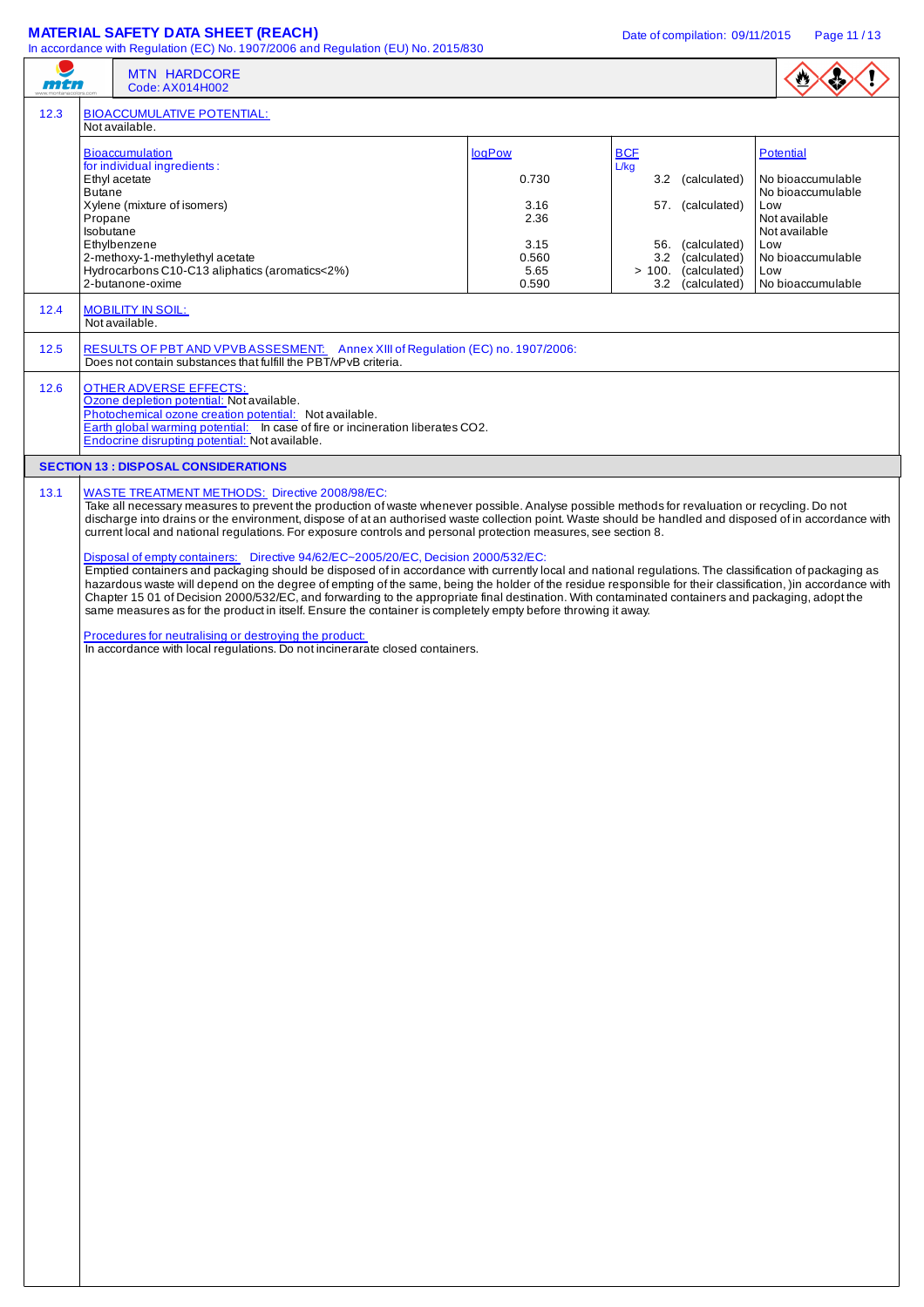|      |                                       | <b>MATERIAL SAFETY DATA SHEET (REACH)</b><br>In accordance with Regulation (EC) No. 1907/2006 and Regulation (EU) No. 2015/830                                                                                                                                                                                                                                                                                                                                                                                                                                                                                                                                                                                                                                                                                                                                                                                                                                                                                                                                                                                                                                                                                                                                                                                        |                                                                   | Date of compilation: 09/11/2015                                                                                                                  | Page 11/13                                                                                                                                           |
|------|---------------------------------------|-----------------------------------------------------------------------------------------------------------------------------------------------------------------------------------------------------------------------------------------------------------------------------------------------------------------------------------------------------------------------------------------------------------------------------------------------------------------------------------------------------------------------------------------------------------------------------------------------------------------------------------------------------------------------------------------------------------------------------------------------------------------------------------------------------------------------------------------------------------------------------------------------------------------------------------------------------------------------------------------------------------------------------------------------------------------------------------------------------------------------------------------------------------------------------------------------------------------------------------------------------------------------------------------------------------------------|-------------------------------------------------------------------|--------------------------------------------------------------------------------------------------------------------------------------------------|------------------------------------------------------------------------------------------------------------------------------------------------------|
| mtn  |                                       | <b>MTN HARDCORE</b><br>Code: AX014H002                                                                                                                                                                                                                                                                                                                                                                                                                                                                                                                                                                                                                                                                                                                                                                                                                                                                                                                                                                                                                                                                                                                                                                                                                                                                                |                                                                   |                                                                                                                                                  | $\bullet$                                                                                                                                            |
| 12.3 |                                       | <b>BIOACCUMULATIVE POTENTIAL:</b><br>Not available.                                                                                                                                                                                                                                                                                                                                                                                                                                                                                                                                                                                                                                                                                                                                                                                                                                                                                                                                                                                                                                                                                                                                                                                                                                                                   |                                                                   |                                                                                                                                                  |                                                                                                                                                      |
|      | <b>Butane</b><br>Propane<br>Isobutane | <b>Bioaccumulation</b><br>for individual ingredients:<br>Ethyl acetate<br>Xylene (mixture of isomers)<br>Ethylbenzene<br>2-methoxy-1-methylethyl acetate<br>Hydrocarbons C10-C13 aliphatics (aromatics<2%)<br>2-butanone-oxime                                                                                                                                                                                                                                                                                                                                                                                                                                                                                                                                                                                                                                                                                                                                                                                                                                                                                                                                                                                                                                                                                        | logPow<br>0.730<br>3.16<br>2.36<br>3.15<br>0.560<br>5.65<br>0.590 | <b>BCF</b><br>L/kg<br>(calculated)<br>3.2<br>57. (calculated)<br>56. (calculated)<br>3.2 (calculated)<br>> 100. (calculated)<br>3.2 (calculated) | Potential<br>No bioaccumulable<br>No bioaccumulable<br>Low<br>Not available<br>Not available<br>Low<br>No bioaccumulable<br>Low<br>No bioaccumulable |
| 12.4 |                                       | <b>MOBILITY IN SOIL:</b><br>Not available.                                                                                                                                                                                                                                                                                                                                                                                                                                                                                                                                                                                                                                                                                                                                                                                                                                                                                                                                                                                                                                                                                                                                                                                                                                                                            |                                                                   |                                                                                                                                                  |                                                                                                                                                      |
| 12.5 |                                       | RESULTS OF PBT AND VPVBASSESMENT: Annex XIII of Regulation (EC) no. 1907/2006:<br>Does not contain substances that fulfill the PBT/vPvB criteria.                                                                                                                                                                                                                                                                                                                                                                                                                                                                                                                                                                                                                                                                                                                                                                                                                                                                                                                                                                                                                                                                                                                                                                     |                                                                   |                                                                                                                                                  |                                                                                                                                                      |
| 12.6 |                                       | <b>OTHER ADVERSE EFFECTS:</b><br>Ozone depletion potential: Not available.<br>Photochemical ozone creation potential: Not available.<br>Earth global warming potential: In case of fire or incineration liberates CO2.<br>Endocrine disrupting potential: Not available.                                                                                                                                                                                                                                                                                                                                                                                                                                                                                                                                                                                                                                                                                                                                                                                                                                                                                                                                                                                                                                              |                                                                   |                                                                                                                                                  |                                                                                                                                                      |
|      |                                       | <b>SECTION 13 : DISPOSAL CONSIDERATIONS</b>                                                                                                                                                                                                                                                                                                                                                                                                                                                                                                                                                                                                                                                                                                                                                                                                                                                                                                                                                                                                                                                                                                                                                                                                                                                                           |                                                                   |                                                                                                                                                  |                                                                                                                                                      |
| 13.1 |                                       | <b>WASTE TREATMENT METHODS:</b> Directive 2008/98/EC:<br>Take all necessary measures to prevent the production of waste whenever possible. Analyse possible methods for revaluation or recycling. Do not<br>discharge into drains or the environment, dispose of at an authorised waste collection point. Waste should be handled and disposed of in accordance with<br>current local and national regulations. For exposure controls and personal protection measures, see section 8.<br>Disposal of empty containers: Directive 94/62/EC~2005/20/EC, Decision 2000/532/EC:<br>Emptied containers and packaging should be disposed of in accordance with currently local and national regulations. The classification of packaging as<br>hazardous waste will depend on the degree of empting of the same, being the holder of the residue responsible for their classification, )in accordance with<br>Chapter 15 01 of Decision 2000/532/EC, and forwarding to the appropriate final destination. With contaminated containers and packaging, adopt the<br>same measures as for the product in itself. Ensure the container is completely empty before throwing it away.<br>Procedures for neutralising or destroying the product:<br>In accordance with local regulations. Do not incinerarate closed containers. |                                                                   |                                                                                                                                                  |                                                                                                                                                      |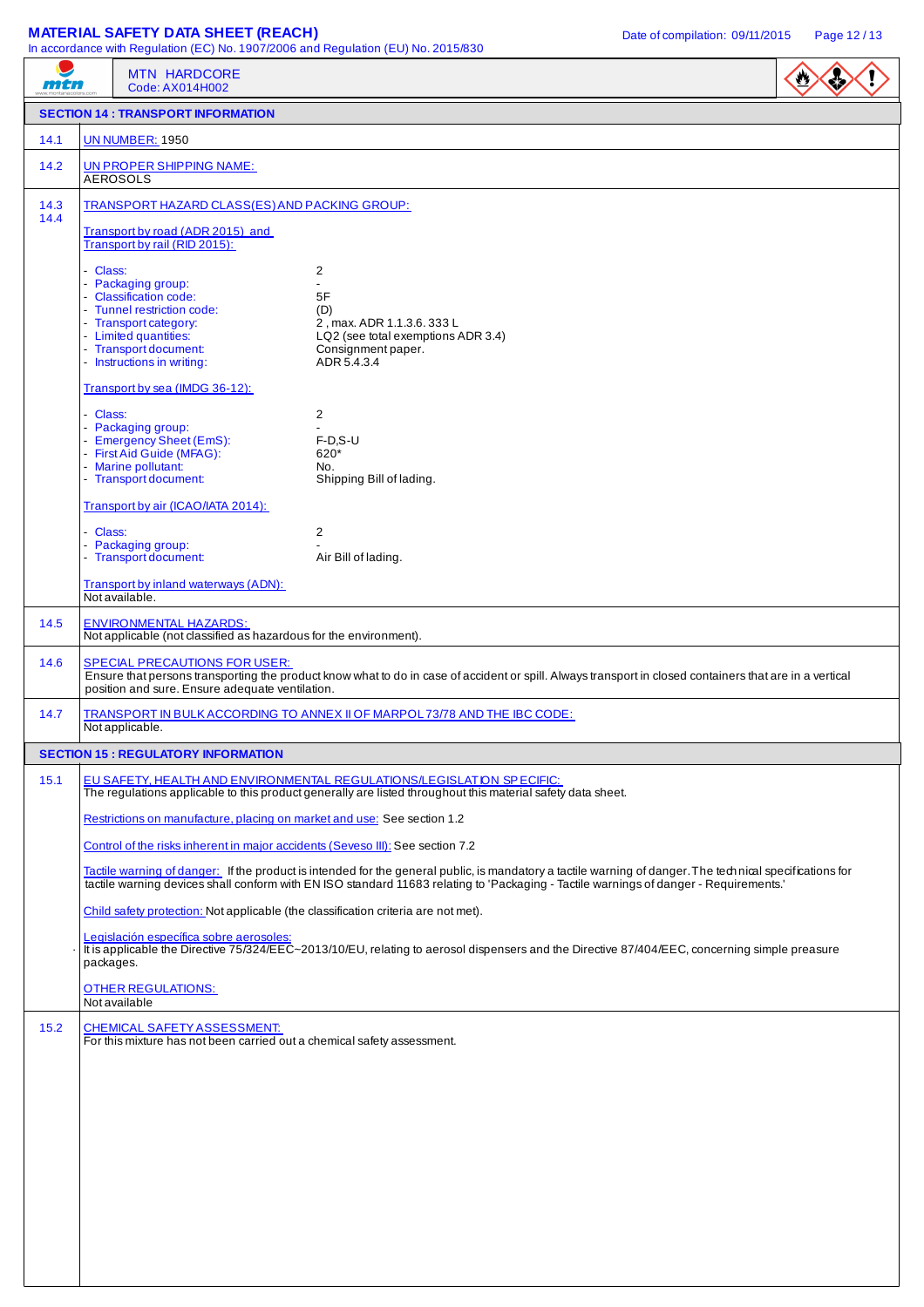# **MATERIAL SAFETY DATA SHEET (REACH)** Date of compilation: 09/11/2015 Page 12/13

| mtn          | In accordance with Regulation (EC) No. 1907/2006 and Regulation (EU) No. 2015/830<br><b>MTN HARDCORE</b><br>Code: AX014H002                                                                                                                                                                                                                                                                                                        |                                                                                                       |  |  |  |  |
|--------------|------------------------------------------------------------------------------------------------------------------------------------------------------------------------------------------------------------------------------------------------------------------------------------------------------------------------------------------------------------------------------------------------------------------------------------|-------------------------------------------------------------------------------------------------------|--|--|--|--|
|              | <b>SECTION 14 : TRANSPORT INFORMATION</b>                                                                                                                                                                                                                                                                                                                                                                                          |                                                                                                       |  |  |  |  |
| 14.1         | <b>UN NUMBER: 1950</b>                                                                                                                                                                                                                                                                                                                                                                                                             |                                                                                                       |  |  |  |  |
| 14.2         | <b>UN PROPER SHIPPING NAME:</b><br><b>AEROSOLS</b>                                                                                                                                                                                                                                                                                                                                                                                 |                                                                                                       |  |  |  |  |
| 14.3<br>14.4 | TRANSPORT HAZARD CLASS(ES) AND PACKING GROUP:                                                                                                                                                                                                                                                                                                                                                                                      |                                                                                                       |  |  |  |  |
|              | Transport by road (ADR 2015) and<br>Transport by rail (RID 2015):<br>- Class:                                                                                                                                                                                                                                                                                                                                                      | 2                                                                                                     |  |  |  |  |
|              | - Packaging group:<br>- Classification code:<br>- Tunnel restriction code:                                                                                                                                                                                                                                                                                                                                                         | $\overline{a}$<br>5F<br>(D)                                                                           |  |  |  |  |
|              | - Transport category:<br>- Limited quantities:<br>- Transport document:<br>- Instructions in writing:                                                                                                                                                                                                                                                                                                                              | 2, max. ADR 1.1.3.6. 333 L<br>LQ2 (see total exemptions ADR 3.4)<br>Consignment paper.<br>ADR 5.4.3.4 |  |  |  |  |
|              | Transport by sea (IMDG 36-12):                                                                                                                                                                                                                                                                                                                                                                                                     |                                                                                                       |  |  |  |  |
|              | - Class:<br>- Packaging group:<br>- Emergency Sheet (EmS):                                                                                                                                                                                                                                                                                                                                                                         | 2<br>$F-D.S-U$                                                                                        |  |  |  |  |
|              | - First Aid Guide (MFAG):<br>- Marine pollutant:<br>- Transport document:                                                                                                                                                                                                                                                                                                                                                          | 620*<br>No.<br>Shipping Bill of lading.                                                               |  |  |  |  |
|              | Transport by air (ICAO/IATA 2014):                                                                                                                                                                                                                                                                                                                                                                                                 |                                                                                                       |  |  |  |  |
|              | - Class:<br>- Packaging group:<br>- Transport document:                                                                                                                                                                                                                                                                                                                                                                            | 2<br>Air Bill of lading.                                                                              |  |  |  |  |
|              | Transport by inland waterways (ADN):<br>Not available.                                                                                                                                                                                                                                                                                                                                                                             |                                                                                                       |  |  |  |  |
| 14.5         | <b>ENVIRONMENTAL HAZARDS:</b><br>Not applicable (not classified as hazardous for the environment).                                                                                                                                                                                                                                                                                                                                 |                                                                                                       |  |  |  |  |
| 14.6         | <b>SPECIAL PRECAUTIONS FOR USER:</b><br>Ensure that persons transporting the product know what to do in case of accident or spill. Always transport in closed containers that are in a vertical<br>position and sure. Ensure adequate ventilation.                                                                                                                                                                                 |                                                                                                       |  |  |  |  |
| 14.7         | TRANSPORT IN BULK ACCORDING TO ANNEX II OF MARPOL 73/78 AND THE IBC CODE:<br>Not applicable.                                                                                                                                                                                                                                                                                                                                       |                                                                                                       |  |  |  |  |
|              | <b>SECTION 15 : REGULATORY INFORMATION</b>                                                                                                                                                                                                                                                                                                                                                                                         |                                                                                                       |  |  |  |  |
| 15.1         | EU SAFETY, HEALTH AND ENVIRONMENTAL REGULATIONS/LEGISLATION SPECIFIC:<br>The regulations applicable to this product generally are listed throughout this material safety data sheet.                                                                                                                                                                                                                                               |                                                                                                       |  |  |  |  |
|              | Restrictions on manufacture, placing on market and use: See section 1.2                                                                                                                                                                                                                                                                                                                                                            |                                                                                                       |  |  |  |  |
|              | Control of the risks inherent in major accidents (Seveso III): See section 7.2                                                                                                                                                                                                                                                                                                                                                     |                                                                                                       |  |  |  |  |
|              | Tactile warning of danger: If the product is intended for the general public, is mandatory a tactile warning of danger. The technical specifications for<br>tactile warning devices shall conform with EN ISO standard 11683 relating to 'Packaging - Tactile warnings of danger - Requirements.'<br>Child safety protection: Not applicable (the classification criteria are not met).<br>Legislación específica sobre aerosoles: |                                                                                                       |  |  |  |  |
|              |                                                                                                                                                                                                                                                                                                                                                                                                                                    |                                                                                                       |  |  |  |  |
|              | It is applicable the Directive 75/324/EEC~2013/10/EU, relating to aerosol dispensers and the Directive 87/404/EEC, concerning simple preasure<br>packages.                                                                                                                                                                                                                                                                         |                                                                                                       |  |  |  |  |
|              | <b>OTHER REGULATIONS:</b><br>Not available                                                                                                                                                                                                                                                                                                                                                                                         |                                                                                                       |  |  |  |  |
| 15.2         | <b>CHEMICAL SAFETY ASSESSMENT:</b><br>For this mixture has not been carried out a chemical safety assessment.                                                                                                                                                                                                                                                                                                                      |                                                                                                       |  |  |  |  |
|              |                                                                                                                                                                                                                                                                                                                                                                                                                                    |                                                                                                       |  |  |  |  |
|              |                                                                                                                                                                                                                                                                                                                                                                                                                                    |                                                                                                       |  |  |  |  |
|              |                                                                                                                                                                                                                                                                                                                                                                                                                                    |                                                                                                       |  |  |  |  |
|              |                                                                                                                                                                                                                                                                                                                                                                                                                                    |                                                                                                       |  |  |  |  |
|              |                                                                                                                                                                                                                                                                                                                                                                                                                                    |                                                                                                       |  |  |  |  |
|              |                                                                                                                                                                                                                                                                                                                                                                                                                                    |                                                                                                       |  |  |  |  |